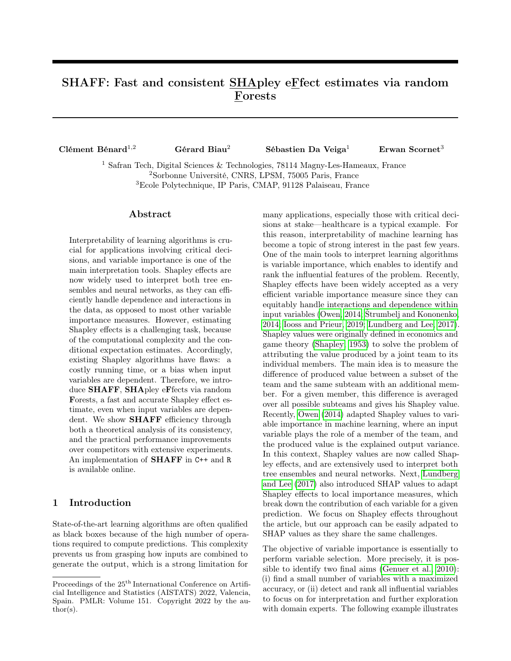# SHAFF: Fast and consistent SHApley eFfect estimates via random Forests

| Clément Bénard <sup>1,2</sup>             | Gérard Biau <sup>2</sup> | Sébastien Da Veiga <sup>1</sup> | Erwan Scornet <sup>3</sup> |
|-------------------------------------------|--------------------------|---------------------------------|----------------------------|
| $1 \wedge e$ m $1 \wedge \cdots \wedge e$ |                          | $\sqrt{2}$                      |                            |

<sup>1</sup> Safran Tech, Digital Sciences & Technologies, 78114 Magny-Les-Hameaux, France <sup>2</sup>Sorbonne Université, CNRS, LPSM, 75005 Paris, France <sup>3</sup>Ecole Polytechnique, IP Paris, CMAP, 91128 Palaiseau, France

## Abstract

Interpretability of learning algorithms is crucial for applications involving critical decisions, and variable importance is one of the main interpretation tools. Shapley effects are now widely used to interpret both tree ensembles and neural networks, as they can efficiently handle dependence and interactions in the data, as opposed to most other variable importance measures. However, estimating Shapley effects is a challenging task, because of the computational complexity and the conditional expectation estimates. Accordingly, existing Shapley algorithms have flaws: a costly running time, or a bias when input variables are dependent. Therefore, we introduce SHAFF, SHApley eFfects via random Forests, a fast and accurate Shapley effect estimate, even when input variables are dependent. We show SHAFF efficiency through both a theoretical analysis of its consistency, and the practical performance improvements over competitors with extensive experiments. An implementation of SHAFF in C++ and R is available online.

# 1 Introduction

State-of-the-art learning algorithms are often qualified as black boxes because of the high number of operations required to compute predictions. This complexity prevents us from grasping how inputs are combined to generate the output, which is a strong limitation for many applications, especially those with critical decisions at stake—healthcare is a typical example. For this reason, interpretability of machine learning has become a topic of strong interest in the past few years. One of the main tools to interpret learning algorithms is variable importance, which enables to identify and rank the influential features of the problem. Recently, Shapley effects have been widely accepted as a very efficient variable importance measure since they can equitably handle interactions and dependence within input variables [\(Owen, 2014;](#page-9-0) [Štrumbelj and Kononenko,](#page-10-0) [2014;](#page-10-0) [Iooss and Prieur, 2019;](#page-9-1) [Lundberg and Lee, 2017\)](#page-9-2). Shapley values were originally defined in economics and game theory [\(Shapley, 1953\)](#page-10-1) to solve the problem of attributing the value produced by a joint team to its individual members. The main idea is to measure the difference of produced value between a subset of the team and the same subteam with an additional member. For a given member, this difference is averaged over all possible subteams and gives his Shapley value. Recently, [Owen](#page-9-0) [\(2014\)](#page-9-0) adapted Shapley values to variable importance in machine learning, where an input variable plays the role of a member of the team, and the produced value is the explained output variance. In this context, Shapley values are now called Shapley effects, and are extensively used to interpret both tree ensembles and neural networks. Next, [Lundberg](#page-9-2) [and Lee](#page-9-2) [\(2017\)](#page-9-2) also introduced SHAP values to adapt Shapley effects to local importance measures, which break down the contribution of each variable for a given prediction. We focus on Shapley effects throughout the article, but our approach can be easily adpated to SHAP values as they share the same challenges.

The objective of variable importance is essentially to perform variable selection. More precisely, it is possible to identify two final aims [\(Genuer et al., 2010\)](#page-9-3): (i) find a small number of variables with a maximized accuracy, or (ii) detect and rank all influential variables to focus on for interpretation and further exploration with domain experts. The following example illustrates

Proceedings of the  $25^{\text{th}}$  International Conference on Artificial Intelligence and Statistics (AISTATS) 2022, Valencia, Spain. PMLR: Volume 151. Copyright 2022 by the au- $\text{thor}(s)$ .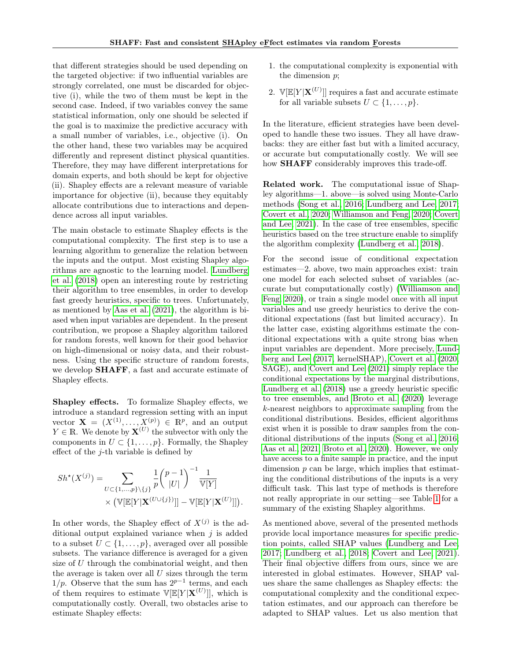that different strategies should be used depending on the targeted objective: if two influential variables are strongly correlated, one must be discarded for objective (i), while the two of them must be kept in the second case. Indeed, if two variables convey the same statistical information, only one should be selected if the goal is to maximize the predictive accuracy with a small number of variables, i.e., objective (i). On the other hand, these two variables may be acquired differently and represent distinct physical quantities. Therefore, they may have different interpretations for domain experts, and both should be kept for objective (ii). Shapley effects are a relevant measure of variable importance for objective (ii), because they equitably allocate contributions due to interactions and dependence across all input variables.

The main obstacle to estimate Shapley effects is the computational complexity. The first step is to use a learning algorithm to generalize the relation between the inputs and the output. Most existing Shapley algorithms are agnostic to the learning model. [Lundberg](#page-9-4) [et al.](#page-9-4) [\(2018\)](#page-9-4) open an interesting route by restricting their algorithm to tree ensembles, in order to develop fast greedy heuristics, specific to trees. Unfortunately, as mentioned by [Aas et al.](#page-9-5) [\(2021\)](#page-9-5), the algorithm is biased when input variables are dependent. In the present contribution, we propose a Shapley algorithm tailored for random forests, well known for their good behavior on high-dimensional or noisy data, and their robustness. Using the specific structure of random forests, we develop **SHAFF**, a fast and accurate estimate of Shapley effects.

Shapley effects. To formalize Shapley effects, we introduce a standard regression setting with an input vector  $\mathbf{X} = (X^{(1)}, \ldots, X^{(p)}) \in \mathbb{R}^p$ , and an output  $Y \in \mathbb{R}$ . We denote by  $\mathbf{X}^{(U)}$  the subvector with only the components in  $U \subset \{1, \ldots, p\}$ . Formally, the Shapley effect of the  $j$ -th variable is defined by

$$
Sh^{\star}(X^{(j)}) = \sum_{U \subset \{1, ..., p\} \setminus \{j\}} \frac{1}{p} {p-1 \choose |U|}^{-1} \frac{1}{\mathbb{V}[Y]} \times (\mathbb{V}[\mathbb{E}[Y | \mathbf{X}^{(U \cup \{j\})}]] - \mathbb{V}[\mathbb{E}[Y | \mathbf{X}^{(U)}]]).
$$

In other words, the Shapley effect of  $X^{(j)}$  is the additional output explained variance when  $j$  is added to a subset  $U \subset \{1, \ldots, p\}$ , averaged over all possible subsets. The variance difference is averaged for a given size of  $U$  through the combinatorial weight, and then the average is taken over all  $U$  sizes through the term  $1/p$ . Observe that the sum has  $2^{p-1}$  terms, and each of them requires to estimate  $\mathbb{V}[\mathbb{E}[Y|\mathbf{X}^{(U)}]]$ , which is computationally costly. Overall, two obstacles arise to estimate Shapley effects:

- 1. the computational complexity is exponential with the dimension p;
- 2.  $\mathbb{V}[\mathbb{E}[Y|\mathbf{X}^{(U)}]]$  requires a fast and accurate estimate for all variable subsets  $U \subset \{1, \ldots, p\}.$

In the literature, efficient strategies have been developed to handle these two issues. They all have drawbacks: they are either fast but with a limited accuracy, or accurate but computationally costly. We will see how **SHAFF** considerably improves this trade-off.

Related work. The computational issue of Shapley algorithms—1. above—is solved using Monte-Carlo methods [\(Song et al., 2016;](#page-10-2) [Lundberg and Lee, 2017;](#page-9-2) [Covert et al., 2020;](#page-9-6) [Williamson and Feng, 2020;](#page-10-3) [Covert](#page-9-7) [and Lee, 2021\)](#page-9-7). In the case of tree ensembles, specific heuristics based on the tree structure enable to simplify the algorithm complexity [\(Lundberg et al., 2018\)](#page-9-4).

For the second issue of conditional expectation estimates—2. above, two main approaches exist: train one model for each selected subset of variables (accurate but computationally costly) [\(Williamson and](#page-10-3) [Feng, 2020\)](#page-10-3), or train a single model once with all input variables and use greedy heuristics to derive the conditional expectations (fast but limited accuracy). In the latter case, existing algorithms estimate the conditional expectations with a quite strong bias when input variables are dependent. More precisely, [Lund](#page-9-2)[berg and Lee](#page-9-2) [\(2017,](#page-9-2) kernelSHAP), [Covert et al.](#page-9-6) [\(2020,](#page-9-6) SAGE), and [Covert and Lee](#page-9-7) [\(2021\)](#page-9-7) simply replace the conditional expectations by the marginal distributions, [Lundberg et al.](#page-9-4) [\(2018\)](#page-9-4) use a greedy heuristic specific to tree ensembles, and [Broto et al.](#page-9-8) [\(2020\)](#page-9-8) leverage k-nearest neighbors to approximate sampling from the conditional distributions. Besides, efficient algorithms exist when it is possible to draw samples from the conditional distributions of the inputs [\(Song et al., 2016;](#page-10-2) [Aas et al., 2021;](#page-9-5) [Broto et al., 2020\)](#page-9-8). However, we only have access to a finite sample in practice, and the input dimension  $p$  can be large, which implies that estimating the conditional distributions of the inputs is a very difficult task. This last type of methods is therefore not really appropriate in our setting—see Table [1](#page-2-0) for a summary of the existing Shapley algorithms.

As mentioned above, several of the presented methods provide local importance measures for specific prediction points, called SHAP values [\(Lundberg and Lee,](#page-9-2) [2017;](#page-9-2) [Lundberg et al., 2018;](#page-9-4) [Covert and Lee, 2021\)](#page-9-7). Their final objective differs from ours, since we are interested in global estimates. However, SHAP values share the same challenges as Shapley effects: the computational complexity and the conditional expectation estimates, and our approach can therefore be adapted to SHAP values. Let us also mention that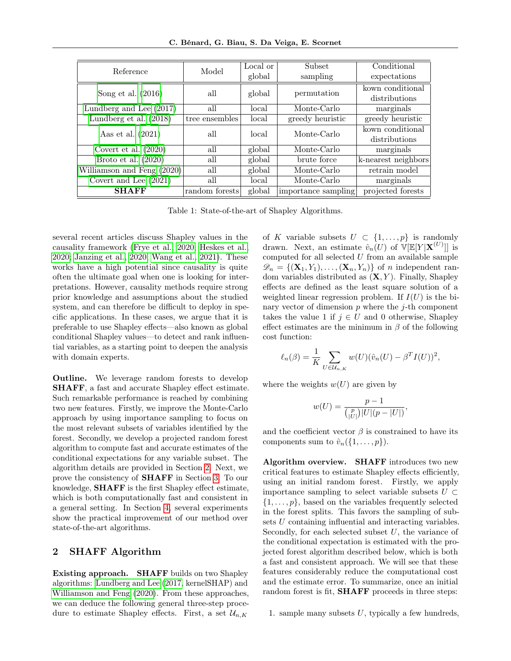C. Bénard, G. Biau, S. Da Veiga, E. Scornet

| Reference                            | Model          | Local or | Subset              | Conditional         |
|--------------------------------------|----------------|----------|---------------------|---------------------|
|                                      |                | global   | sampling            | expectations        |
| Song et al. $(2016)$                 | all            | global   | permutation         | kown conditional    |
|                                      |                |          |                     | distributions       |
| Lundberg and Lee $\overline{(2017)}$ | all            | local    | Monte-Carlo         | marginals           |
| Lundberg et al. $(2018)$             | tree ensembles | local    | greedy heuristic    | greedy heuristic    |
| Aas et al. $(2021)$                  | all            | local    | Monte-Carlo         | kown conditional    |
|                                      |                |          |                     | distributions       |
| Covert et al. $(2020)$               | all            | global   | Monte-Carlo         | marginals           |
| Broto et al. $(2020)$                | all            | global   | brute force         | k-nearest neighbors |
| Williamson and Feng (2020)           | all            | global   | Monte-Carlo         | retrain model       |
| Covert and Lee $(2021)$              | all            | local    | Monte-Carlo         | marginals           |
| <b>SHAFF</b>                         | random forests | global   | importance sampling | projected forests   |

Table 1: State-of-the-art of Shapley Algorithms.

several recent articles discuss Shapley values in the causality framework [\(Frye et al., 2020;](#page-9-9) [Heskes et al.,](#page-9-10) [2020;](#page-9-10) [Janzing et al., 2020;](#page-9-11) [Wang et al., 2021\)](#page-10-4). These works have a high potential since causality is quite often the ultimate goal when one is looking for interpretations. However, causality methods require strong prior knowledge and assumptions about the studied system, and can therefore be difficult to deploy in specific applications. In these cases, we argue that it is preferable to use Shapley effects—also known as global conditional Shapley values—to detect and rank influential variables, as a starting point to deepen the analysis with domain experts.

Outline. We leverage random forests to develop SHAFF, a fast and accurate Shapley effect estimate. Such remarkable performance is reached by combining two new features. Firstly, we improve the Monte-Carlo approach by using importance sampling to focus on the most relevant subsets of variables identified by the forest. Secondly, we develop a projected random forest algorithm to compute fast and accurate estimates of the conditional expectations for any variable subset. The algorithm details are provided in Section [2.](#page-2-1) Next, we prove the consistency of SHAFF in Section [3.](#page-5-0) To our knowledge, SHAFF is the first Shapley effect estimate, which is both computationally fast and consistent in a general setting. In Section [4,](#page-6-0) several experiments show the practical improvement of our method over state-of-the-art algorithms.

## <span id="page-2-1"></span>2 SHAFF Algorithm

Existing approach. SHAFF builds on two Shapley algorithms: [Lundberg and Lee](#page-9-2) [\(2017,](#page-9-2) kernelSHAP) and [Williamson and Feng](#page-10-3) [\(2020\)](#page-10-3). From these approaches, we can deduce the following general three-step procedure to estimate Shapley effects. First, a set  $\mathcal{U}_{n,K}$ 

<span id="page-2-0"></span>of K variable subsets  $U \subset \{1,\ldots,p\}$  is randomly drawn. Next, an estimate  $\hat{v}_n(U)$  of  $\mathbb{V}[\mathbb{E}[Y|\mathbf{X}^{(U)}]]$  is computed for all selected  $U$  from an available sample  $\mathscr{D}_n = \{(\mathbf{X}_1, Y_1), \ldots, (\mathbf{X}_n, Y_n)\}\$  of *n* independent random variables distributed as  $(X, Y)$ . Finally, Shapley effects are defined as the least square solution of a weighted linear regression problem. If  $I(U)$  is the binary vector of dimension  $p$  where the  $j$ -th component takes the value 1 if  $j \in U$  and 0 otherwise, Shapley effect estimates are the minimum in  $\beta$  of the following cost function:

$$
\ell_n(\beta) = \frac{1}{K} \sum_{U \in \mathcal{U}_{n,K}} w(U)(\hat{v}_n(U) - \beta^T I(U))^2,
$$

where the weights  $w(U)$  are given by

$$
w(U) = \frac{p-1}{\binom{p}{|U|} |U|(p-|U|)},
$$

and the coefficient vector  $\beta$  is constrained to have its components sum to  $\hat{v}_n({1,\ldots,p})$ .

Algorithm overview. SHAFF introduces two new critical features to estimate Shapley effects efficiently, using an initial random forest. Firstly, we apply importance sampling to select variable subsets  $U \subset$  $\{1, \ldots, p\}$ , based on the variables frequently selected in the forest splits. This favors the sampling of subsets U containing influential and interacting variables. Secondly, for each selected subset  $U$ , the variance of the conditional expectation is estimated with the projected forest algorithm described below, which is both a fast and consistent approach. We will see that these features considerably reduce the computational cost and the estimate error. To summarize, once an initial random forest is fit, **SHAFF** proceeds in three steps:

1. sample many subsets  $U$ , typically a few hundreds,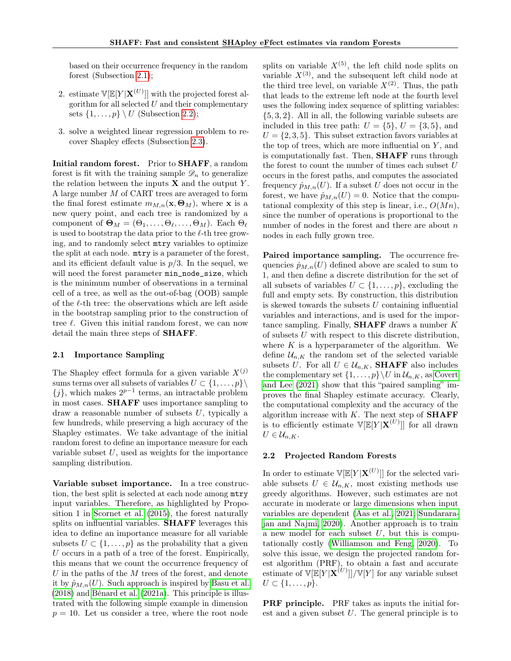based on their occurrence frequency in the random forest (Subsection [2.1\)](#page-3-0);

- 2. estimate  $\mathbb{V}[\mathbb{E}[Y|\mathbf{X}^{(U)}]]$  with the projected forest algorithm for all selected  $U$  and their complementary sets  $\{1,\ldots,p\} \setminus U$  (Subsection [2.2\)](#page-3-1);
- 3. solve a weighted linear regression problem to recover Shapley effects (Subsection [2.3\)](#page-4-0).

Initial random forest. Prior to SHAFF, a random forest is fit with the training sample  $\mathscr{D}_n$  to generalize the relation between the inputs  $X$  and the output  $Y$ . A large number M of CART trees are averaged to form the final forest estimate  $m_{M,n}(\mathbf{x}, \Theta_M)$ , where **x** is a new query point, and each tree is randomized by a component of  $\mathbf{\Theta}_M = (\Theta_1, \dots, \Theta_\ell, \dots, \Theta_M)$ . Each  $\Theta_\ell$ is used to bootstrap the data prior to the  $\ell$ -th tree growing, and to randomly select mtry variables to optimize the split at each node. mtry is a parameter of the forest, and its efficient default value is  $p/3$ . In the sequel, we will need the forest parameter  $min\_node\_size$ , which is the minimum number of observations in a terminal cell of a tree, as well as the out-of-bag (OOB) sample of the  $\ell$ -th tree: the observations which are left aside in the bootstrap sampling prior to the construction of tree  $\ell$ . Given this initial random forest, we can now detail the main three steps of SHAFF.

### <span id="page-3-0"></span>2.1 Importance Sampling

The Shapley effect formula for a given variable  $X^{(j)}$ sums terms over all subsets of variables  $U \subset \{1, \ldots, p\} \setminus$  $\{j\}$ , which makes  $2^{p-1}$  terms, an intractable problem in most cases. SHAFF uses importance sampling to draw a reasonable number of subsets  $U$ , typically a few hundreds, while preserving a high accuracy of the Shapley estimates. We take advantage of the initial random forest to define an importance measure for each variable subset  $U$ , used as weights for the importance sampling distribution.

Variable subset importance. In a tree construction, the best split is selected at each node among mtry input variables. Therefore, as highlighted by Proposition 1 in [Scornet et al.](#page-10-5) [\(2015\)](#page-10-5), the forest naturally splits on influential variables. **SHAFF** leverages this idea to define an importance measure for all variable subsets  $U \subset \{1, \ldots, p\}$  as the probability that a given U occurs in a path of a tree of the forest. Empirically, this means that we count the occurrence frequency of  $U$  in the paths of the  $M$  trees of the forest, and denote it by  $\hat{p}_{M,n}(U)$ . Such approach is inspired by [Basu et al.](#page-9-12) [\(2018\)](#page-9-12) and [Bénard et al.](#page-9-13) [\(2021a\)](#page-9-13). This principle is illustrated with the following simple example in dimension  $p = 10$ . Let us consider a tree, where the root node splits on variable  $X^{(5)}$ , the left child node splits on variable  $X^{(3)}$ , and the subsequent left child node at the third tree level, on variable  $X^{(2)}$ . Thus, the path that leads to the extreme left node at the fourth level uses the following index sequence of splitting variables: {5, 3, 2}. All in all, the following variable subsets are included in this tree path:  $U = \{5\}$ ,  $U = \{3, 5\}$ , and  $U = \{2, 3, 5\}$ . This subset extraction favors variables at the top of trees, which are more influential on  $Y$ , and is computationally fast. Then, SHAFF runs through the forest to count the number of times each subset  $U$ occurs in the forest paths, and computes the associated frequency  $\hat{p}_{M,n}(U)$ . If a subset U does not occur in the forest, we have  $\hat{p}_{M,n}(U) = 0$ . Notice that the computational complexity of this step is linear, i.e.,  $O(Mn)$ , since the number of operations is proportional to the number of nodes in the forest and there are about  $n$ nodes in each fully grown tree.

Paired importance sampling. The occurrence frequencies  $\hat{p}_{M,n}(U)$  defined above are scaled to sum to 1, and then define a discrete distribution for the set of all subsets of variables  $U \subset \{1, \ldots, p\}$ , excluding the full and empty sets. By construction, this distribution is skewed towards the subsets U containing influential variables and interactions, and is used for the importance sampling. Finally, **SHAFF** draws a number  $K$ of subsets U with respect to this discrete distribution, where  $K$  is a hyperparameter of the algorithm. We define  $\mathcal{U}_{n,K}$  the random set of the selected variable subsets U. For all  $U \in \mathcal{U}_{n,K}$ , **SHAFF** also includes the complementary set  $\{1, \ldots, p\} \backslash U$  in  $\mathcal{U}_{n,K}$ , as [Covert](#page-9-7) [and Lee](#page-9-7) [\(2021\)](#page-9-7) show that this "paired sampling" improves the final Shapley estimate accuracy. Clearly, the computational complexity and the accuracy of the algorithm increase with  $K$ . The next step of **SHAFF** is to efficiently estimate  $\mathbb{V}[\mathbb{E}[Y|\mathbf{X}^{(U)}]]$  for all drawn  $U \in \mathcal{U}_{n,K}.$ 

### <span id="page-3-1"></span>2.2 Projected Random Forests

In order to estimate  $\mathbb{V}[\mathbb{E}[Y|\mathbf{X}^{(U)}]]$  for the selected variable subsets  $U \in \mathcal{U}_{n,K}$ , most existing methods use greedy algorithms. However, such estimates are not accurate in moderate or large dimensions when input variables are dependent [\(Aas et al., 2021;](#page-9-5) [Sundarara](#page-10-6)[jan and Najmi, 2020\)](#page-10-6). Another approach is to train a new model for each subset  $U$ , but this is computationally costly [\(Williamson and Feng, 2020\)](#page-10-3). To solve this issue, we design the projected random forest algorithm (PRF), to obtain a fast and accurate estimate of  $\mathbb{V}[\mathbb{E}[Y|\mathbf{X}^{(U)}]]/\mathbb{V}[Y]$  for any variable subset  $U \subset \{1,\ldots,p\}.$ 

PRF principle. PRF takes as inputs the initial forest and a given subset  $U$ . The general principle is to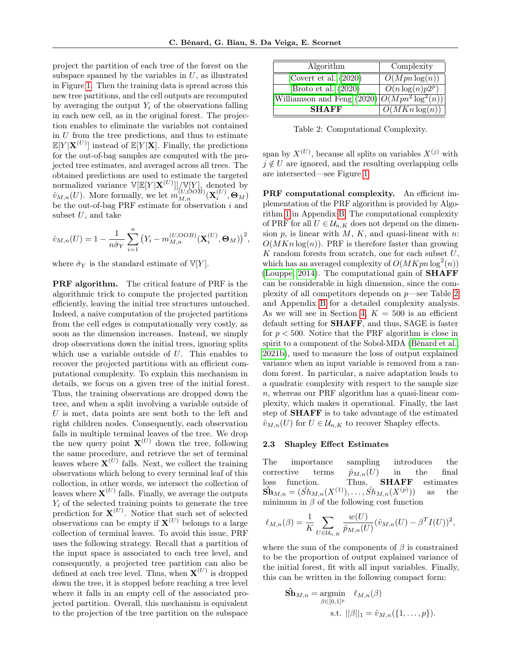project the partition of each tree of the forest on the subspace spanned by the variables in  $U$ , as illustrated in Figure [1.](#page-5-1) Then the training data is spread across this new tree partitions, and the cell outputs are recomputed by averaging the output  $Y_i$  of the observations falling in each new cell, as in the original forest. The projection enables to eliminate the variables not contained in  $U$  from the tree predictions, and thus to estimate  $\mathbb{E}[Y|\mathbf{X}^{(U)}]$  instead of  $\mathbb{E}[Y|\mathbf{X}]$ . Finally, the predictions for the out-of-bag samples are computed with the projected tree estimates, and averaged across all trees. The obtained predictions are used to estimate the targeted normalized variance  $\mathbb{V}[\mathbb{E}[Y|\mathbf{X}^{(U)}]]/\mathbb{V}[Y]$ , denoted by  $\hat{v}_{M,n}(U)$ . More formally, we let  $m_{M,n}^{(U,OOB)}(\mathbf{X}_i^{(U)},\mathbf{\Theta}_M)$ be the out-of-bag PRF estimate for observation i and subset  $U$ , and take

$$
\hat{v}_{M,n}(U) = 1 - \frac{1}{n\hat{\sigma}_Y} \sum_{i=1}^n (Y_i - m_{M,n}^{(U,OOB)}(\mathbf{X}_i^{(U)}, \mathbf{\Theta}_M))^2,
$$

where  $\hat{\sigma}_Y$  is the standard estimate of  $\mathbb{V}[Y]$ .

PRF algorithm. The critical feature of PRF is the algorithmic trick to compute the projected partition efficiently, leaving the initial tree structures untouched. Indeed, a naive computation of the projected partitions from the cell edges is computationally very costly, as soon as the dimension increases. Instead, we simply drop observations down the initial trees, ignoring splits which use a variable outside of  $U$ . This enables to recover the projected partitions with an efficient computational complexity. To explain this mechanism in details, we focus on a given tree of the initial forest. Thus, the training observations are dropped down the tree, and when a split involving a variable outside of U is met, data points are sent both to the left and right children nodes. Consequently, each observation falls in multiple terminal leaves of the tree. We drop the new query point  $X^{(U)}$  down the tree, following the same procedure, and retrieve the set of terminal leaves where  $\mathbf{X}^{(U)}$  falls. Next, we collect the training observations which belong to every terminal leaf of this collection, in other words, we intersect the collection of leaves where  $\mathbf{X}^{(U)}$  falls. Finally, we average the outputs  $Y_i$  of the selected training points to generate the tree prediction for  $\mathbf{X}^{(U)}$ . Notice that such set of selected observations can be empty if  $X^{(U)}$  belongs to a large collection of terminal leaves. To avoid this issue, PRF uses the following strategy. Recall that a partition of the input space is associated to each tree level, and consequently, a projected tree partition can also be defined at each tree level. Thus, when  $\mathbf{X}^{(U)}$  is dropped down the tree, it is stopped before reaching a tree level where it falls in an empty cell of the associated projected partition. Overall, this mechanism is equivalent to the projection of the tree partition on the subspace

| Algorithm                                         | Complexity                  |
|---------------------------------------------------|-----------------------------|
| Covert et al. $(2020)$                            | $\overline{O(Mpn \log(n))}$ |
| Broto et al. $(2020)$                             | $O(n \log(n)p2^p)$          |
| Williamson and Feng $(2020)  O(Mpn^2 \log^2(n)) $ |                             |
| <b>SHAFF</b>                                      | $\overline{O(MKn\log(n))}$  |

<span id="page-4-1"></span>Table 2: Computational Complexity.

span by  $X^{(U)}$ , because all splits on variables  $X^{(j)}$  with  $j \notin U$  are ignored, and the resulting overlapping cells are intersected—see Figure [1.](#page-5-1)

PRF computational complexity. An efficient implementation of the PRF algorithm is provided by Algorithm [1](#page-14-0) in Appendix [B.](#page-11-0) The computational complexity of PRF for all  $U \in \mathcal{U}_{n,K}$  does not depend on the dimension  $p$ , is linear with  $M$ ,  $K$ , and quasi-linear with  $n$ :  $O(MKn \log(n))$ . PRF is therefore faster than growing  $K$  random forests from scratch, one for each subset  $U$ , which has an averaged complexity of  $O(MKpn \log^2(n))$ [\(Louppe, 2014\)](#page-9-14). The computational gain of SHAFF can be considerable in high dimension, since the complexity of all competitors depends on  $p$ —see Table [2](#page-4-1) and Appendix [B](#page-11-0) for a detailed complexity analysis. As we will see in Section [4,](#page-6-0)  $K = 500$  is an efficient default setting for SHAFF, and thus, SAGE is faster for  $p < 500$ . Notice that the PRF algorithm is close in spirit to a component of the Sobol-MDA [\(Bénard et al.,](#page-9-15) [2021b\)](#page-9-15), used to measure the loss of output explained variance when an input variable is removed from a random forest. In particular, a naive adaptation leads to a quadratic complexity with respect to the sample size n, whereas our PRF algorithm has a quasi-linear complexity, which makes it operational. Finally, the last step of SHAFF is to take advantage of the estimated  $\hat{v}_{M,n}(U)$  for  $U \in \mathcal{U}_{n,K}$  to recover Shapley effects.

#### <span id="page-4-0"></span>2.3 Shapley Effect Estimates

The importance sampling introduces the corrective terms  $\hat{p}_{M,n}(U)$  in the final loss function. Thus, SHAFF estimates  $\hat{\mathbf{Sh}}_{M,n} = (\hat{Sh}_{M,n}(X^{(1)}), \dots, \hat{Sh}_{M,n}(X^{(p)}))$ )) as the minimum in  $\beta$  of the following cost function

$$
\ell_{M,n}(\beta) = \frac{1}{K} \sum_{U \in \mathcal{U}_{n,K}} \frac{w(U)}{\hat{p}_{M,n}(U)} (\hat{v}_{M,n}(U) - \beta^T I(U))^2,
$$

where the sum of the components of  $\beta$  is constrained to be the proportion of output explained variance of the initial forest, fit with all input variables. Finally, this can be written in the following compact form:

$$
\begin{aligned} \mathbf{Sh}_{M,n} &= \operatorname*{argmin}_{\beta \in [0,1]^p} \ell_{M,n}(\beta) \\ \text{s.t. } & ||\beta||_1 = \hat{v}_{M,n}(\{1,\ldots,p\}). \end{aligned}
$$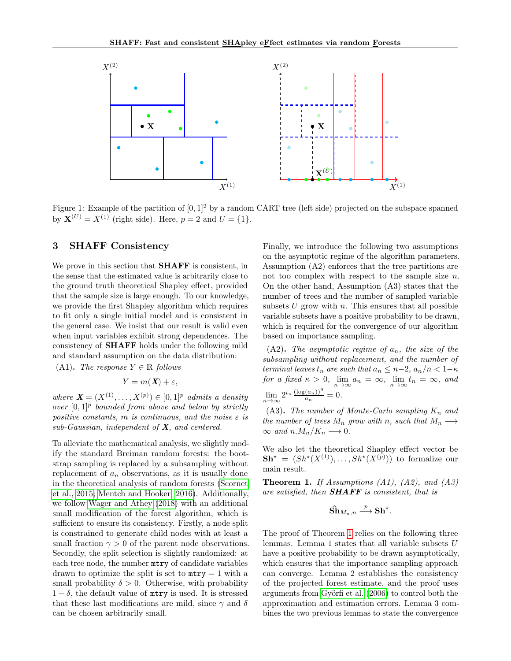

Figure 1: Example of the partition of  $[0, 1]^2$  by a random CART tree (left side) projected on the subspace spanned by  $X^{(U)} = X^{(1)}$  (right side). Here,  $p = 2$  and  $U = \{1\}$ .

## <span id="page-5-0"></span>3 SHAFF Consistency

We prove in this section that SHAFF is consistent, in the sense that the estimated value is arbitrarily close to the ground truth theoretical Shapley effect, provided that the sample size is large enough. To our knowledge, we provide the first Shapley algorithm which requires to fit only a single initial model and is consistent in the general case. We insist that our result is valid even when input variables exhibit strong dependences. The consistency of SHAFF holds under the following mild and standard assumption on the data distribution:

(A1). The response  $Y \in \mathbb{R}$  follows

$$
Y = m(\mathbf{X}) + \varepsilon,
$$

where  $\mathbf{X} = (X^{(1)}, \dots, X^{(p)}) \in [0,1]^p$  admits a density over  $[0,1]^p$  bounded from above and below by strictly positive constants, m is continuous, and the noise  $\varepsilon$  is  $sub-Gaussian$ , independent of  $X$ , and centered.

To alleviate the mathematical analysis, we slightly modify the standard Breiman random forests: the bootstrap sampling is replaced by a subsampling without replacement of  $a_n$  observations, as it is usually done in the theoretical analysis of random forests [\(Scornet](#page-10-5) [et al., 2015;](#page-10-5) [Mentch and Hooker, 2016\)](#page-9-16). Additionally, we follow [Wager and Athey](#page-10-7) [\(2018\)](#page-10-7) with an additional small modification of the forest algorithm, which is sufficient to ensure its consistency. Firstly, a node split is constrained to generate child nodes with at least a small fraction  $\gamma > 0$  of the parent node observations. Secondly, the split selection is slightly randomized: at each tree node, the number mtry of candidate variables drawn to optimize the split is set to  $mtry = 1$  with a small probability  $\delta > 0$ . Otherwise, with probability  $1 - \delta$ , the default value of mtry is used. It is stressed that these last modifications are mild, since  $\gamma$  and  $\delta$ can be chosen arbitrarily small.

<span id="page-5-1"></span>Finally, we introduce the following two assumptions on the asymptotic regime of the algorithm parameters. Assumption (A2) enforces that the tree partitions are not too complex with respect to the sample size n. On the other hand, Assumption (A3) states that the number of trees and the number of sampled variable subsets  $U$  grow with  $n$ . This ensures that all possible variable subsets have a positive probability to be drawn, which is required for the convergence of our algorithm based on importance sampling.

(A2). The asymptotic regime of  $a_n$ , the size of the subsampling without replacement, and the number of terminal leaves  $t_n$  are such that  $a_n \leq n-2$ ,  $a_n/n < 1-\kappa$ for a fixed  $\kappa > 0$ ,  $\lim_{n \to \infty} a_n = \infty$ ,  $\lim_{n \to \infty} t_n = \infty$ , and  $\lim_{n\to\infty} 2^{t_n} \frac{(\log(a_n))^9}{a_n}$  $\frac{(a_n))^2}{a_n}=0.$ 

(A3). The number of Monte-Carlo sampling  $K_n$  and the number of trees  $M_n$  grow with n, such that  $M_n \longrightarrow$  $\infty$  and  $n.M_n/K_n \longrightarrow 0$ .

We also let the theoretical Shapley effect vector be  $\mathbf{Sh}^* = (Sh^*(X^{(1)}), \ldots, Sh^*(X^{(p)}))$  to formalize our main result.

<span id="page-5-2"></span>**Theorem 1.** If Assumptions  $(A1)$ ,  $(A2)$ , and  $(A3)$ are satisfied, then **SHAFF** is consistent, that is

$$
\hat{\mathbf{Sh}}_{M_n,n} \stackrel{p}{\longrightarrow} \mathbf{Sh}^{\star}.
$$

The proof of Theorem [1](#page-5-2) relies on the following three lemmas. Lemma 1 states that all variable subsets U have a positive probability to be drawn asymptotically, which ensures that the importance sampling approach can converge. Lemma 2 establishes the consistency of the projected forest estimate, and the proof uses arguments from [Györfi et al.](#page-9-17) [\(2006\)](#page-9-17) to control both the approximation and estimation errors. Lemma 3 combines the two previous lemmas to state the convergence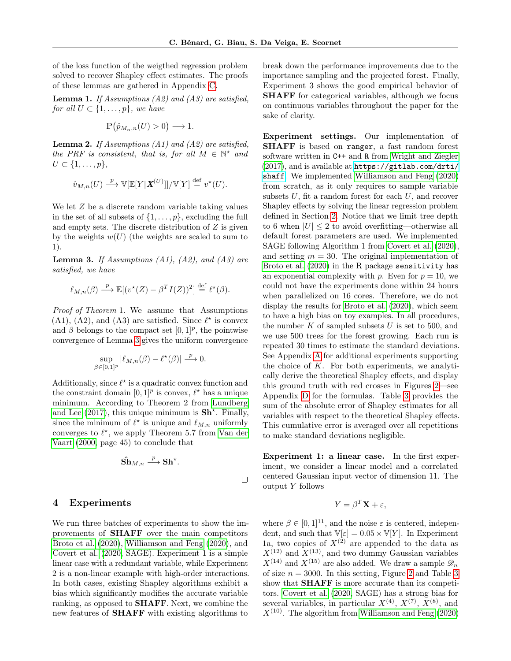of the loss function of the weigthed regression problem solved to recover Shapley effect estimates. The proofs of these lemmas are gathered in Appendix [C.](#page-13-0)

<span id="page-6-2"></span>**Lemma 1.** If Assumptions (A2) and (A3) are satisfied, for all  $U \subset \{1, \ldots, p\}$ , we have

$$
\mathbb{P}\left(\hat{p}_{M_n,n}(U)>0\right)\longrightarrow 1.
$$

<span id="page-6-3"></span>**Lemma 2.** If Assumptions (A1) and (A2) are satisfied, the PRF is consistent, that is, for all  $M \in \mathbb{N}^*$  and  $U \subset \{1,\ldots,p\},\$ 

$$
\hat{v}_{M,n}(U) \stackrel{p}{\longrightarrow} \mathbb{V}[\mathbb{E}[Y|\mathbf{X}^{(U)}]]/\mathbb{V}[Y] \stackrel{\text{def}}{=} v^{\star}(U).
$$

We let  $Z$  be a discrete random variable taking values in the set of all subsets of  $\{1, \ldots, p\}$ , excluding the full and empty sets. The discrete distribution of  $Z$  is given by the weights  $w(U)$  (the weights are scaled to sum to 1).

<span id="page-6-1"></span>**Lemma 3.** If Assumptions  $(A1)$ ,  $(A2)$ , and  $(A3)$  are satisfied, we have

$$
\ell_{M,n}(\beta) \stackrel{p}{\longrightarrow} \mathbb{E}[(v^*(Z) - \beta^T I(Z))^2] \stackrel{\text{def}}{=} \ell^*(\beta).
$$

Proof of Theorem 1. We assume that Assumptions (A1), (A2), and (A3) are satisfied. Since  $\ell^*$  is convex and  $\beta$  belongs to the compact set  $[0,1]^p$ , the pointwise convergence of Lemma [3](#page-6-1) gives the uniform convergence

$$
\sup_{\beta \in [0,1]^p} |\ell_{M,n}(\beta) - \ell^{\star}(\beta)| \stackrel{p}{\longrightarrow} 0.
$$

Additionally, since  $\ell^*$  is a quadratic convex function and the constraint domain  $[0,1]^p$  is convex,  $\ell^*$  has a unique minimum. According to Theorem 2 from [Lundberg](#page-9-2) [and Lee](#page-9-2)  $(2017)$ , this unique minimum is  $\text{Sh}^{\star}$ . Finally, since the minimum of  $\ell^*$  is unique and  $\ell_{M,n}$  uniformly converges to  $\ell^*$ , we apply Theorem 5.7 from [Van der](#page-10-8) [Vaart](#page-10-8) [\(2000,](#page-10-8) page 45) to conclude that

$$
\hat{\mathbf{Sh}}_{M,n} \stackrel{p}{\longrightarrow} \mathbf{Sh}^{\star}.
$$

# <span id="page-6-0"></span>4 Experiments

We run three batches of experiments to show the improvements of SHAFF over the main competitors [Broto et al.](#page-9-8) [\(2020\)](#page-9-8), [Williamson and Feng](#page-10-3) [\(2020\)](#page-10-3), and [Covert et al.](#page-9-6) [\(2020,](#page-9-6) SAGE). Experiment 1 is a simple linear case with a redundant variable, while Experiment 2 is a non-linear example with high-order interactions. In both cases, existing Shapley algorithms exhibit a bias which significantly modifies the accurate variable ranking, as opposed to SHAFF. Next, we combine the new features of SHAFF with existing algorithms to break down the performance improvements due to the importance sampling and the projected forest. Finally, Experiment 3 shows the good empirical behavior of SHAFF for categorical variables, although we focus on continuous variables throughout the paper for the sake of clarity.

Experiment settings. Our implementation of SHAFF is based on ranger, a fast random forest software written in C++ and R from [Wright and Ziegler](#page-10-9) [\(2017\)](#page-10-9), and is available at [https://gitlab.com/drti/](https://gitlab.com/drti/shaff) [shaff](https://gitlab.com/drti/shaff). We implemented [Williamson and Feng](#page-10-3) [\(2020\)](#page-10-3) from scratch, as it only requires to sample variable subsets  $U$ , fit a random forest for each  $U$ , and recover Shapley effects by solving the linear regression problem defined in Section [2.](#page-2-1) Notice that we limit tree depth to 6 when  $|U| \leq 2$  to avoid overfitting—otherwise all default forest parameters are used. We implemented SAGE following Algorithm 1 from [Covert et al.](#page-9-6) [\(2020\)](#page-9-6), and setting  $m = 30$ . The original implementation of [Broto et al.](#page-9-8) [\(2020\)](#page-9-8) in the R package sensitivity has an exponential complexity with p. Even for  $p = 10$ , we could not have the experiments done within 24 hours when parallelized on 16 cores. Therefore, we do not display the results for [Broto et al.](#page-9-8) [\(2020\)](#page-9-8), which seem to have a high bias on toy examples. In all procedures, the number  $K$  of sampled subsets  $U$  is set to 500, and we use 500 trees for the forest growing. Each run is repeated 30 times to estimate the standard deviations. See Appendix [A](#page-11-1) for additional experiments supporting the choice of  $K$ . For both experiments, we analytically derive the theoretical Shapley effects, and display this ground truth with red crosses in Figures [2—](#page-7-0)see Appendix [D](#page-18-0) for the formulas. Table [3](#page-7-1) provides the sum of the absolute error of Shapley estimates for all variables with respect to the theoretical Shapley effects. This cumulative error is averaged over all repetitions to make standard deviations negligible.

Experiment 1: a linear case. In the first experiment, we consider a linear model and a correlated centered Gaussian input vector of dimension 11. The output Y follows

$$
Y = \beta^T \mathbf{X} + \varepsilon,
$$

where  $\beta \in [0, 1]^{11}$ , and the noise  $\varepsilon$  is centered, independent, and such that  $\mathbb{V}[\varepsilon] = 0.05 \times \mathbb{V}[Y]$ . In Experiment 1a, two copies of  $X^{(2)}$  are appended to the data as  $X^{(12)}$  and  $X^{(13)}$ , and two dummy Gaussian variables  $X^{(14)}$  and  $X^{(15)}$  are also added. We draw a sample  $\mathscr{D}_n$ of size  $n = 3000$  $n = 3000$  $n = 3000$ . In this setting, Figure [2](#page-7-0) and Table 3 show that SHAFF is more accurate than its competitors. [Covert et al.](#page-9-6) [\(2020,](#page-9-6) SAGE) has a strong bias for several variables, in particular  $X^{(4)}$ ,  $X^{(7)}$ ,  $X^{(8)}$ , and  $X^{(10)}$ . The algorithm from [Williamson and Feng](#page-10-3) [\(2020\)](#page-10-3)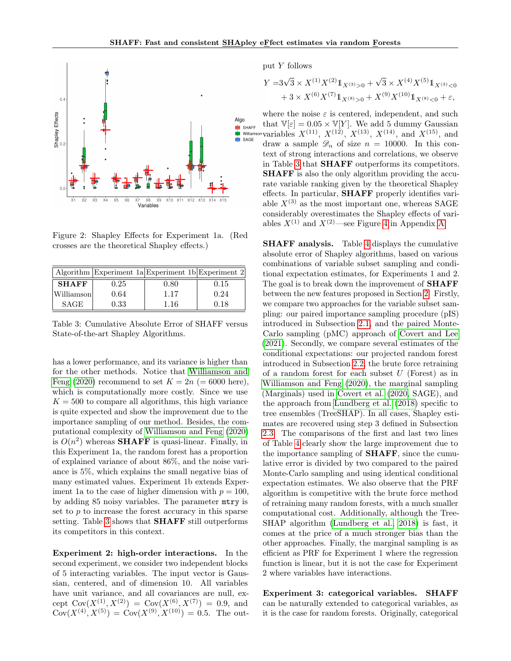

<span id="page-7-0"></span>Figure 2: Shapley Effects for Experiment 1a. (Red crosses are the theoretical Shapley effects.)

|              |      | Algorithm Experiment $1a$ Experiment $1b$ Experiment $2$ |      |
|--------------|------|----------------------------------------------------------|------|
| <b>SHAFF</b> | 0.25 | 0.80                                                     | 0.15 |
| Williamson   | 0.64 | 1.17                                                     | 0.24 |
| <b>SAGE</b>  | 0.33 | 1.16                                                     | 0.18 |

Table 3: Cumulative Absolute Error of SHAFF versus State-of-the-art Shapley Algorithms.

has a lower performance, and its variance is higher than for the other methods. Notice that [Williamson and](#page-10-3) [Feng](#page-10-3) [\(2020\)](#page-10-3) recommend to set  $K = 2n$  (= 6000 here), which is computationally more costly. Since we use  $K = 500$  to compare all algorithms, this high variance is quite expected and show the improvement due to the importance sampling of our method. Besides, the computational complexity of [Williamson and Feng](#page-10-3) [\(2020\)](#page-10-3) is  $O(n^2)$  whereas **SHAFF** is quasi-linear. Finally, in this Experiment 1a, the random forest has a proportion of explained variance of about 86%, and the noise variance is 5%, which explains the small negative bias of many estimated values. Experiment 1b extends Experiment 1a to the case of higher dimension with  $p = 100$ , by adding 85 noisy variables. The parameter mtry is set to  $p$  to increase the forest accuracy in this sparse setting. Table [3](#page-7-1) shows that **SHAFF** still outperforms its competitors in this context.

Experiment 2: high-order interactions. In the second experiment, we consider two independent blocks of 5 interacting variables. The input vector is Gaussian, centered, and of dimension 10. All variables have unit variance, and all covariances are null, except  $Cov(X^{(1)}, X^{(2)}) = Cov(X^{(6)}, X^{(7)}) = 0.9$ , and  $Cov(X^{(4)}, X^{(5)}) = Cov(X^{(9)}, X^{(10)}) = 0.5$ . The output Y follows

$$
Y = 3\sqrt{3} \times X^{(1)} X^{(2)} 1\!\!1_{X^{(3)}>0} + \sqrt{3} \times X^{(4)} X^{(5)} 1\!\!1_{X^{(3)}>0}
$$
  
+ 3 × X<sup>(6)</sup> X<sup>(7)</sup> 1<sub>X<sup>(8)</sup> > 0</sub> + X<sup>(9)</sup> X<sup>(10)</sup> 1<sub>X<sup>(8)</sup> < 0</sub> +  $\varepsilon$ ,

where the noise  $\varepsilon$  is centered, independent, and such that  $\mathbb{V}[\varepsilon] = 0.05 \times \mathbb{V}[Y]$ . We add 5 dummy Gaussian variables  $X^{(11)}$ ,  $X^{(12)}$ ,  $X^{(13)}$ ,  $X^{(14)}$ , and  $X^{(15)}$ , and draw a sample  $\mathscr{D}_n$  of size  $n = 10000$ . In this context of strong interactions and correlations, we observe in Table [3](#page-7-1) that SHAFF outperforms its competitors. SHAFF is also the only algorithm providing the accurate variable ranking given by the theoretical Shapley effects. In particular, SHAFF properly identifies variable  $X^{(3)}$  as the most important one, whereas SAGE considerably overestimates the Shapley effects of variables  $X^{(1)}$  and  $X^{(2)}$ —see Figure [4](#page-12-0) in Appendix [A.](#page-11-1)

<span id="page-7-1"></span>SHAFF analysis. Table [4](#page-8-0) displays the cumulative absolute error of Shapley algorithms, based on various combinations of variable subset sampling and conditional expectation estimates, for Experiments 1 and 2. The goal is to break down the improvement of **SHAFF** between the new features proposed in Section [2.](#page-2-1) Firstly, we compare two approaches for the variable subset sampling: our paired importance sampling procedure (pIS) introduced in Subsection [2.1,](#page-3-0) and the paired Monte-Carlo sampling (pMC) approach of [Covert and Lee](#page-9-7) [\(2021\)](#page-9-7). Secondly, we compare several estimates of the conditional expectations: our projected random forest introduced in Subsection [2.2,](#page-3-1) the brute force retraining of a random forest for each subset  $U$  (Forest) as in [Williamson and Feng](#page-10-3) [\(2020\)](#page-10-3), the marginal sampling (Marginals) used in [Covert et al.](#page-9-6) [\(2020,](#page-9-6) SAGE), and the approach from [Lundberg et al.](#page-9-4) [\(2018\)](#page-9-4) specific to tree ensembles (TreeSHAP). In all cases, Shapley estimates are recovered using step 3 defined in Subsection [2.3.](#page-4-0) The comparisons of the first and last two lines of Table [4](#page-8-0) clearly show the large improvement due to the importance sampling of SHAFF, since the cumulative error is divided by two compared to the paired Monte-Carlo sampling and using identical conditional expectation estimates. We also observe that the PRF algorithm is competitive with the brute force method of retraining many random forests, with a much smaller computational cost. Additionally, although the Tree-SHAP algorithm [\(Lundberg et al., 2018\)](#page-9-4) is fast, it comes at the price of a much stronger bias than the other approaches. Finally, the marginal sampling is as efficient as PRF for Experiment 1 where the regression function is linear, but it is not the case for Experiment 2 where variables have interactions.

Experiment 3: categorical variables. SHAFF can be naturally extended to categorical variables, as it is the case for random forests. Originally, categorical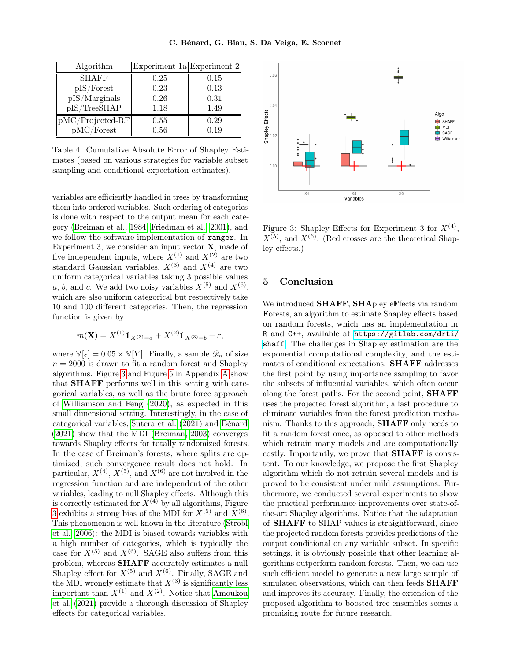| Algorithm          | Experiment 1a Experiment 2 |      |
|--------------------|----------------------------|------|
| <b>SHAFF</b>       | 0.25                       | 0.15 |
| pIS/Forest         | 0.23                       | 0.13 |
| pIS/Marginals      | 0.26                       | 0.31 |
| pIS/TreeSHAP       | 1.18                       | 1.49 |
| $pMC/Projected-RF$ | 0.55                       | 0.29 |
| pMC/Forest         | 0.56                       | 0.19 |

Table 4: Cumulative Absolute Error of Shapley Estimates (based on various strategies for variable subset sampling and conditional expectation estimates).

variables are efficiently handled in trees by transforming them into ordered variables. Such ordering of categories is done with respect to the output mean for each category [\(Breiman et al., 1984;](#page-9-18) [Friedman et al., 2001\)](#page-9-19), and we follow the software implementation of ranger. In Experiment 3, we consider an input vector  $X$ , made of five independent inputs, where  $X^{(1)}$  and  $X^{(2)}$  are two standard Gaussian variables,  $X^{(3)}$  and  $X^{(4)}$  are two uniform categorical variables taking 3 possible values a, b, and c. We add two noisy variables  $X^{(5)}$  and  $X^{(6)}$ , which are also uniform categorical but respectively take 10 and 100 different categories. Then, the regression function is given by

$$
m(\mathbf{X}) = X^{(1)} \mathbb{1}_{X^{(3)}=a} + X^{(2)} \mathbb{1}_{X^{(3)}=b} + \varepsilon,
$$

where  $\mathbb{V}[\varepsilon] = 0.05 \times \mathbb{V}[Y]$ . Finally, a sample  $\mathscr{D}_n$  of size  $n = 2000$  is drawn to fit a random forest and Shapley algorithms. Figure [3](#page-8-1) and Figure [5](#page-12-1) in Appendix [A](#page-11-1) show that SHAFF performs well in this setting with categorical variables, as well as the brute force approach of [Williamson and Feng](#page-10-3) [\(2020\)](#page-10-3), as expected in this small dimensional setting. Interestingly, in the case of categorical variables, [Sutera et al.](#page-10-10) [\(2021\)](#page-10-10) and [Bénard](#page-9-20) [\(2021\)](#page-9-20) show that the MDI [\(Breiman, 2003\)](#page-9-21) converges towards Shapley effects for totally randomized forests. In the case of Breiman's forests, where splits are optimized, such convergence result does not hold. In particular,  $X^{(4)}$ ,  $X^{(5)}$ , and  $X^{(6)}$  are not involved in the regression function and are independent of the other variables, leading to null Shapley effects. Although this is correctly estimated for  $X^{(4)}$  by all algorithms, Figure [3](#page-8-1) exhibits a strong bias of the MDI for  $X^{(5)}$  and  $X^{(6)}$ . This phenomenon is well known in the literature [\(Strobl](#page-10-11) [et al., 2006\)](#page-10-11): the MDI is biased towards variables with a high number of categories, which is typically the case for  $X^{(5)}$  and  $X^{(6)}$ . SAGE also suffers from this problem, whereas SHAFF accurately estimates a null Shapley effect for  $X^{(5)}$  and  $X^{(6)}$ . Finally, SAGE and the MDI wrongly estimate that  $X^{(3)}$  is significantly less important than  $X^{(1)}$  and  $X^{(2)}$ . Notice that [Amoukou](#page-9-22) [et al.](#page-9-22) [\(2021\)](#page-9-22) provide a thorough discussion of Shapley effects for categorical variables.

<span id="page-8-0"></span>

<span id="page-8-1"></span>Figure 3: Shapley Effects for Experiment 3 for  $X^{(4)}$ ,  $X^{(5)}$ , and  $X^{(6)}$ . (Red crosses are the theoretical Shapley effects.)

## 5 Conclusion

We introduced **SHAFF**, **SHA**pley eFfects via random Forests, an algorithm to estimate Shapley effects based on random forests, which has an implementation in R and C++, available at [https://gitlab.com/drti/](https://gitlab.com/drti/shaff) [shaff](https://gitlab.com/drti/shaff). The challenges in Shapley estimation are the exponential computational complexity, and the estimates of conditional expectations. SHAFF addresses the first point by using importance sampling to favor the subsets of influential variables, which often occur along the forest paths. For the second point, SHAFF uses the projected forest algorithm, a fast procedure to eliminate variables from the forest prediction mechanism. Thanks to this approach, SHAFF only needs to fit a random forest once, as opposed to other methods which retrain many models and are computationally costly. Importantly, we prove that SHAFF is consistent. To our knowledge, we propose the first Shapley algorithm which do not retrain several models and is proved to be consistent under mild assumptions. Furthermore, we conducted several experiments to show the practical performance improvements over state-ofthe-art Shapley algorithms. Notice that the adaptation of SHAFF to SHAP values is straightforward, since the projected random forests provides predictions of the output conditional on any variable subset. In specific settings, it is obviously possible that other learning algorithms outperform random forests. Then, we can use such efficient model to generate a new large sample of simulated observations, which can then feeds **SHAFF** and improves its accuracy. Finally, the extension of the proposed algorithm to boosted tree ensembles seems a promising route for future research.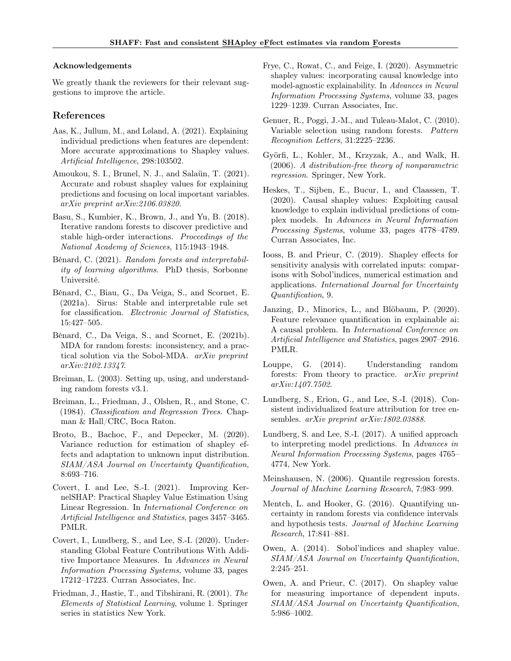### Acknowledgements

We greatly thank the reviewers for their relevant suggestions to improve the article.

### References

- <span id="page-9-5"></span>Aas, K., Jullum, M., and Løland, A. (2021). Explaining individual predictions when features are dependent: More accurate approximations to Shapley values. Artificial Intelligence, 298:103502.
- <span id="page-9-22"></span>Amoukou, S. I., Brunel, N. J., and Salaün, T. (2021). Accurate and robust shapley values for explaining predictions and focusing on local important variables. arXiv preprint arXiv:2106.03820.
- <span id="page-9-12"></span>Basu, S., Kumbier, K., Brown, J., and Yu, B. (2018). Iterative random forests to discover predictive and stable high-order interactions. Proceedings of the National Academy of Sciences, 115:1943–1948.
- <span id="page-9-20"></span>Bénard, C. (2021). Random forests and interpretability of learning algorithms. PhD thesis, Sorbonne Université.
- <span id="page-9-13"></span>Bénard, C., Biau, G., Da Veiga, S., and Scornet, E. (2021a). Sirus: Stable and interpretable rule set for classification. Electronic Journal of Statistics, 15:427–505.
- <span id="page-9-15"></span>Bénard, C., Da Veiga, S., and Scornet, E. (2021b). MDA for random forests: inconsistency, and a practical solution via the Sobol-MDA. arXiv preprint arXiv:2102.13347.
- <span id="page-9-21"></span>Breiman, L. (2003). Setting up, using, and understanding random forests v3.1.
- <span id="page-9-18"></span>Breiman, L., Friedman, J., Olshen, R., and Stone, C. (1984). Classification and Regression Trees. Chapman & Hall/CRC, Boca Raton.
- <span id="page-9-8"></span>Broto, B., Bachoc, F., and Depecker, M. (2020). Variance reduction for estimation of shapley effects and adaptation to unknown input distribution. SIAM/ASA Journal on Uncertainty Quantification, 8:693–716.
- <span id="page-9-7"></span>Covert, I. and Lee, S.-I. (2021). Improving KernelSHAP: Practical Shapley Value Estimation Using Linear Regression. In International Conference on Artificial Intelligence and Statistics, pages 3457–3465. PMLR.
- <span id="page-9-6"></span>Covert, I., Lundberg, S., and Lee, S.-I. (2020). Understanding Global Feature Contributions With Additive Importance Measures. In Advances in Neural Information Processing Systems, volume 33, pages 17212–17223. Curran Associates, Inc.
- <span id="page-9-19"></span>Friedman, J., Hastie, T., and Tibshirani, R. (2001). The Elements of Statistical Learning, volume 1. Springer series in statistics New York.
- <span id="page-9-9"></span>Frye, C., Rowat, C., and Feige, I. (2020). Asymmetric shapley values: incorporating causal knowledge into model-agnostic explainability. In Advances in Neural Information Processing Systems, volume 33, pages 1229–1239. Curran Associates, Inc.
- <span id="page-9-3"></span>Genuer, R., Poggi, J.-M., and Tuleau-Malot, C. (2010). Variable selection using random forests. Pattern Recognition Letters, 31:2225–2236.
- <span id="page-9-17"></span>Györfi, L., Kohler, M., Krzyzak, A., and Walk, H. (2006). A distribution-free theory of nonparametric regression. Springer, New York.
- <span id="page-9-10"></span>Heskes, T., Sijben, E., Bucur, I., and Claassen, T. (2020). Causal shapley values: Exploiting causal knowledge to explain individual predictions of complex models. In Advances in Neural Information Processing Systems, volume 33, pages 4778–4789. Curran Associates, Inc.
- <span id="page-9-1"></span>Iooss, B. and Prieur, C. (2019). Shapley effects for sensitivity analysis with correlated inputs: comparisons with Sobol'indices, numerical estimation and applications. International Journal for Uncertainty Quantification, 9.
- <span id="page-9-11"></span>Janzing, D., Minorics, L., and Blöbaum, P. (2020). Feature relevance quantification in explainable ai: A causal problem. In International Conference on Artificial Intelligence and Statistics, pages 2907–2916. PMLR.
- <span id="page-9-14"></span>Louppe, G. (2014). Understanding random forests: From theory to practice. arXiv preprint arXiv:1407.7502.
- <span id="page-9-4"></span>Lundberg, S., Erion, G., and Lee, S.-I. (2018). Consistent individualized feature attribution for tree ensembles. arXiv preprint arXiv:1802.03888.
- <span id="page-9-2"></span>Lundberg, S. and Lee, S.-I. (2017). A unified approach to interpreting model predictions. In Advances in Neural Information Processing Systems, pages 4765– 4774, New York.
- <span id="page-9-23"></span>Meinshausen, N. (2006). Quantile regression forests. Journal of Machine Learning Research, 7:983–999.
- <span id="page-9-16"></span>Mentch, L. and Hooker, G. (2016). Quantifying uncertainty in random forests via confidence intervals and hypothesis tests. Journal of Machine Learning Research, 17:841–881.
- <span id="page-9-0"></span>Owen, A. (2014). Sobol'indices and shapley value. SIAM/ASA Journal on Uncertainty Quantification, 2:245–251.
- <span id="page-9-24"></span>Owen, A. and Prieur, C. (2017). On shapley value for measuring importance of dependent inputs. SIAM/ASA Journal on Uncertainty Quantification, 5:986–1002.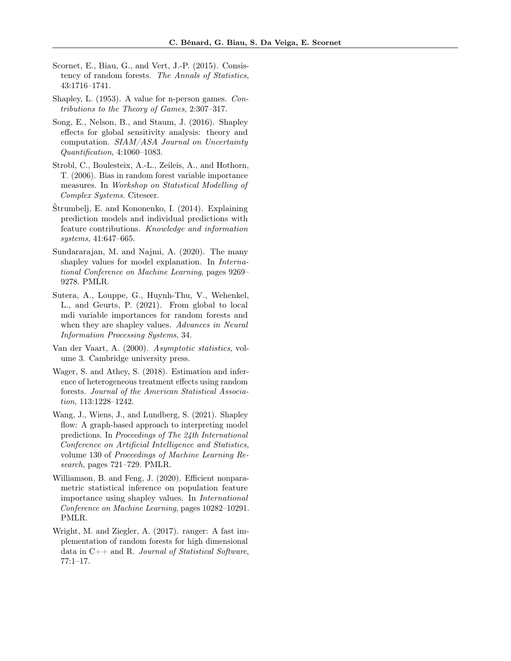- <span id="page-10-5"></span>Scornet, E., Biau, G., and Vert, J.-P. (2015). Consistency of random forests. The Annals of Statistics, 43:1716–1741.
- <span id="page-10-1"></span>Shapley, L. (1953). A value for n-person games. Contributions to the Theory of Games, 2:307–317.
- <span id="page-10-2"></span>Song, E., Nelson, B., and Staum, J. (2016). Shapley effects for global sensitivity analysis: theory and computation. SIAM/ASA Journal on Uncertainty Quantification, 4:1060–1083.
- <span id="page-10-11"></span>Strobl, C., Boulesteix, A.-L., Zeileis, A., and Hothorn, T. (2006). Bias in random forest variable importance measures. In Workshop on Statistical Modelling of Complex Systems. Citeseer.
- <span id="page-10-0"></span>Štrumbelj, E. and Kononenko, I. (2014). Explaining prediction models and individual predictions with feature contributions. Knowledge and information systems, 41:647–665.
- <span id="page-10-6"></span>Sundararajan, M. and Najmi, A. (2020). The many shapley values for model explanation. In International Conference on Machine Learning, pages 9269– 9278. PMLR.
- <span id="page-10-10"></span>Sutera, A., Louppe, G., Huynh-Thu, V., Wehenkel, L., and Geurts, P. (2021). From global to local mdi variable importances for random forests and when they are shapley values. Advances in Neural Information Processing Systems, 34.
- <span id="page-10-8"></span>Van der Vaart, A. (2000). Asymptotic statistics, volume 3. Cambridge university press.
- <span id="page-10-7"></span>Wager, S. and Athey, S. (2018). Estimation and inference of heterogeneous treatment effects using random forests. Journal of the American Statistical Association, 113:1228–1242.
- <span id="page-10-4"></span>Wang, J., Wiens, J., and Lundberg, S. (2021). Shapley flow: A graph-based approach to interpreting model predictions. In Proceedings of The 24th International Conference on Artificial Intelligence and Statistics, volume 130 of Proceedings of Machine Learning Research, pages 721–729. PMLR.
- <span id="page-10-3"></span>Williamson, B. and Feng, J. (2020). Efficient nonparametric statistical inference on population feature importance using shapley values. In International Conference on Machine Learning, pages 10282–10291. PMLR.
- <span id="page-10-9"></span>Wright, M. and Ziegler, A. (2017). ranger: A fast implementation of random forests for high dimensional data in  $C++$  and R. Journal of Statistical Software, 77:1–17.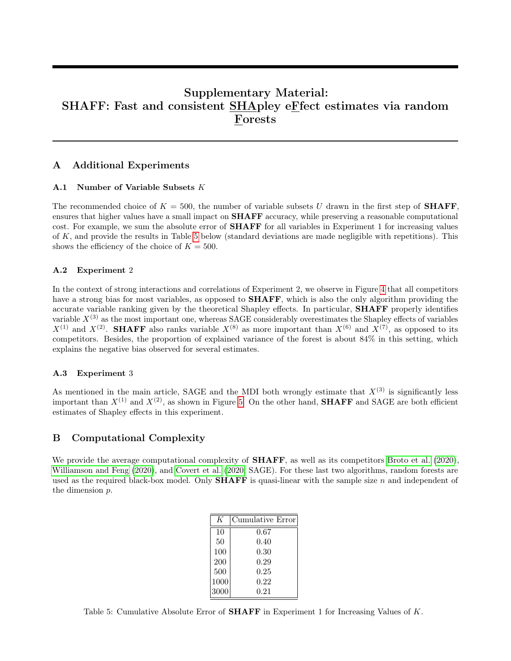# Supplementary Material: SHAFF: Fast and consistent SHApley eFfect estimates via random Forests

## <span id="page-11-1"></span>A Additional Experiments

### A.1 Number of Variable Subsets K

The recommended choice of  $K = 500$ , the number of variable subsets U drawn in the first step of **SHAFF**, ensures that higher values have a small impact on **SHAFF** accuracy, while preserving a reasonable computational cost. For example, we sum the absolute error of **SHAFF** for all variables in Experiment 1 for increasing values of K, and provide the results in Table [5](#page-11-2) below (standard deviations are made negligible with repetitions). This shows the efficiency of the choice of  $K = 500$ .

### A.2 Experiment 2

In the context of strong interactions and correlations of Experiment 2, we observe in Figure [4](#page-12-0) that all competitors have a strong bias for most variables, as opposed to **SHAFF**, which is also the only algorithm providing the accurate variable ranking given by the theoretical Shapley effects. In particular, SHAFF properly identifies variable  $X^{(3)}$  as the most important one, whereas SAGE considerably overestimates the Shapley effects of variables  $X^{(1)}$  and  $X^{(2)}$ . **SHAFF** also ranks variable  $X^{(8)}$  as more important than  $X^{(6)}$  and  $X^{(7)}$ , as opposed to its competitors. Besides, the proportion of explained variance of the forest is about 84% in this setting, which explains the negative bias observed for several estimates.

### A.3 Experiment 3

As mentioned in the main article, SAGE and the MDI both wrongly estimate that  $X^{(3)}$  is significantly less important than  $X^{(1)}$  and  $X^{(2)}$ , as shown in Figure [5.](#page-12-1) On the other hand, **SHAFF** and SAGE are both efficient estimates of Shapley effects in this experiment.

## <span id="page-11-0"></span>B Computational Complexity

We provide the average computational complexity of **SHAFF**, as well as its competitors [Broto et al.](#page-9-8) [\(2020\)](#page-9-8), [Williamson and Feng](#page-10-3) [\(2020\)](#page-10-3), and [Covert et al.](#page-9-6) [\(2020,](#page-9-6) SAGE). For these last two algorithms, random forests are used as the required black-box model. Only **SHAFF** is quasi-linear with the sample size n and independent of the dimension p.

<span id="page-11-2"></span>

| K    | Cumulative Error |
|------|------------------|
| 10   | 0.67             |
| 50   | 0.40             |
| 100  | 0.30             |
| 200  | 0.29             |
| 500  | 0.25             |
| 1000 | 0.22             |
| 3000 | 0.21             |

Table 5: Cumulative Absolute Error of **SHAFF** in Experiment 1 for Increasing Values of  $K$ .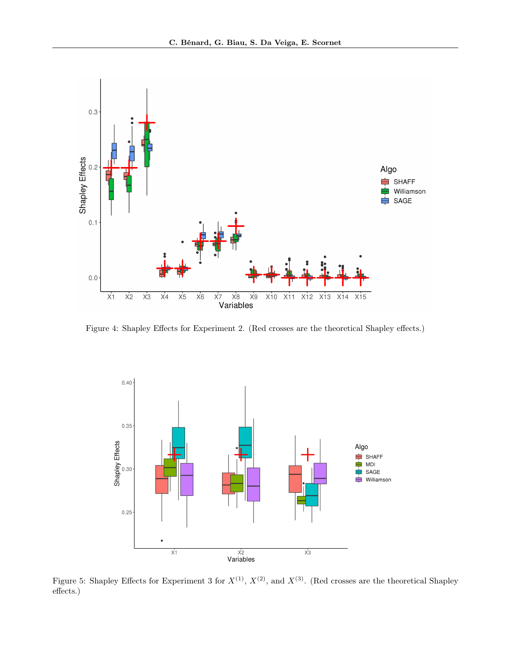

Figure 4: Shapley Effects for Experiment 2. (Red crosses are the theoretical Shapley effects.)

<span id="page-12-0"></span>

<span id="page-12-1"></span>Figure 5: Shapley Effects for Experiment 3 for  $X^{(1)}$ ,  $X^{(2)}$ , and  $X^{(3)}$ . (Red crosses are the theoretical Shapley effects.)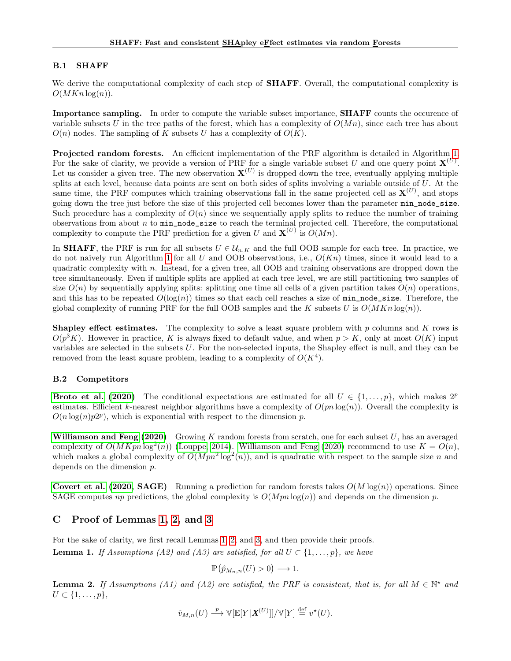## B.1 SHAFF

We derive the computational complexity of each step of **SHAFF**. Overall, the computational complexity is  $O(MKn \log(n)).$ 

Importance sampling. In order to compute the variable subset importance, **SHAFF** counts the occurence of variable subsets U in the tree paths of the forest, which has a complexity of  $O(Mn)$ , since each tree has about  $O(n)$  nodes. The sampling of K subsets U has a complexity of  $O(K)$ .

Projected random forests. An efficient implementation of the PRF algorithm is detailed in Algorithm [1.](#page-14-0) For the sake of clarity, we provide a version of PRF for a single variable subset U and one query point  $\mathbf{X}^{(U)}$ . Let us consider a given tree. The new observation  $X^{(U)}$  is dropped down the tree, eventually applying multiple splits at each level, because data points are sent on both sides of splits involving a variable outside of  $U$ . At the same time, the PRF computes which training observations fall in the same projected cell as  $\mathbf{X}^{(U)}$ , and stops going down the tree just before the size of this projected cell becomes lower than the parameter min\_node\_size. Such procedure has a complexity of  $O(n)$  since we sequentially apply splits to reduce the number of training observations from about  $n$  to  $\min_{\text{node\_size}}$  to reach the terminal projected cell. Therefore, the computational complexity to compute the PRF prediction for a given U and  $\mathbf{X}^{(U)}$  is  $O(Mn)$ .

In **SHAFF**, the PRF is run for all subsets  $U \in \mathcal{U}_{n,K}$  and the full OOB sample for each tree. In practice, we do not naively run Algorithm [1](#page-14-0) for all U and OOB observations, i.e.,  $O(Kn)$  times, since it would lead to a quadratic complexity with n. Instead, for a given tree, all OOB and training observations are dropped down the tree simultaneously. Even if multiple splits are applied at each tree level, we are still partitioning two samples of size  $O(n)$  by sequentially applying splits: splitting one time all cells of a given partition takes  $O(n)$  operations, and this has to be repeated  $O(\log(n))$  times so that each cell reaches a size of  $\min\_node\_size$ . Therefore, the global complexity of running PRF for the full OOB samples and the K subsets U is  $O(MKn \log(n))$ .

**Shapley effect estimates.** The complexity to solve a least square problem with p columns and K rows is  $O(p^3 K)$ . However in practice, K is always fixed to default value, and when  $p > K$ , only at most  $O(K)$  input variables are selected in the subsets U. For the non-selected inputs, the Shapley effect is null, and they can be removed from the least square problem, leading to a complexity of  $O(K<sup>4</sup>)$ .

## B.2 Competitors

**[Broto et al.](#page-9-8) [\(2020\)](#page-9-8)** The conditional expectations are estimated for all  $U \in \{1, \ldots, p\}$ , which makes  $2^p$ estimates. Efficient k-nearest neighbor algorithms have a complexity of  $O(pn \log(n))$ . Overall the complexity is  $O(n \log(n) p 2^p)$ , which is exponential with respect to the dimension p.

[Williamson and Feng](#page-10-3)  $(2020)$  Growing K random forests from scratch, one for each subset U, has an averaged complexity of  $O(MKpn \log^2(n))$  [\(Louppe, 2014\)](#page-9-14). [Williamson and Feng](#page-10-3) [\(2020\)](#page-10-3) recommend to use  $K = O(n)$ , which makes a global complexity of  $O(Mpn^2 \log^2(n))$ , and is quadratic with respect to the sample size n and depends on the dimension p.

**[Covert et al.](#page-9-6) [\(2020,](#page-9-6) SAGE)** Running a prediction for random forests takes  $O(M \log(n))$  operations. Since SAGE computes np predictions, the global complexity is  $O(Mpn \log(n))$  and depends on the dimension p.

# <span id="page-13-0"></span>C Proof of Lemmas [1,](#page-6-2) [2,](#page-6-3) and [3](#page-6-1)

For the sake of clarity, we first recall Lemmas [1,](#page-6-2) [2,](#page-6-3) and [3,](#page-6-1) and then provide their proofs. **Lemma 1.** If Assumptions (A2) and (A3) are satisfied, for all  $U \subset \{1, \ldots, p\}$ , we have

$$
\mathbb{P}\left(\hat{p}_{M_n,n}(U) > 0\right) \longrightarrow 1.
$$

**Lemma 2.** If Assumptions (A1) and (A2) are satisfied, the PRF is consistent, that is, for all  $M \in \mathbb{N}^*$  and  $U \subset \{1,\ldots,p\},\$ 

$$
\hat{v}_{M,n}(U) \stackrel{p}{\longrightarrow} \mathbb{V}[\mathbb{E}[Y|\boldsymbol{X}^{(U)}]]/\mathbb{V}[Y] \stackrel{\text{def}}{=} v^{\star}(U).
$$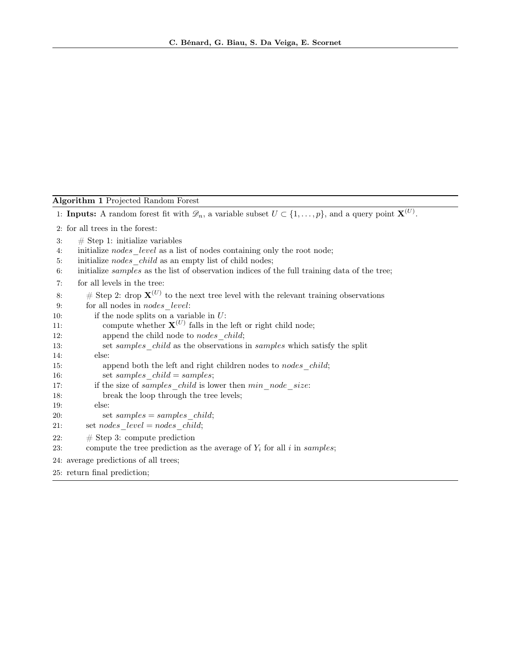Algorithm 1 Projected Random Forest

<span id="page-14-0"></span>1: **Inputs:** A random forest fit with  $\mathscr{D}_n$ , a variable subset  $U \subset \{1, \ldots, p\}$ , and a query point  $\mathbf{X}^{(U)}$ .

2: for all trees in the forest:

3:  $\#$  Step 1: initialize variables

4: initialize nodes level as a list of nodes containing only the root node;

5: initialize nodes child as an empty list of child nodes;

6: initialize samples as the list of observation indices of the full training data of the tree;

7: for all levels in the tree:

8: # Step 2: drop  $X^{(U)}$  to the next tree level with the relevant training observations 9: for all nodes in *nodes* level: 10: if the node splits on a variable in  $U$ : 11: compute whether  $X^{(U)}$  falls in the left or right child node; 12: append the child node to *nodes* child; 13: set *samples* child as the observations in *samples* which satisfy the split 14: else: 15: append both the left and right children nodes to *nodes* child; 16: set samples  $child = samples$ ; 17: if the size of samples child is lower then min node size: 18: break the loop through the tree levels; 19: else: 20: set  $samples = samples \ child;$ 21: set nodes  $level = nodes \ child;$ 22:  $\#\text{Step 3: compute prediction}$ 23: compute the tree prediction as the average of  $Y_i$  for all i in samples; 24: average predictions of all trees; 25: return final prediction;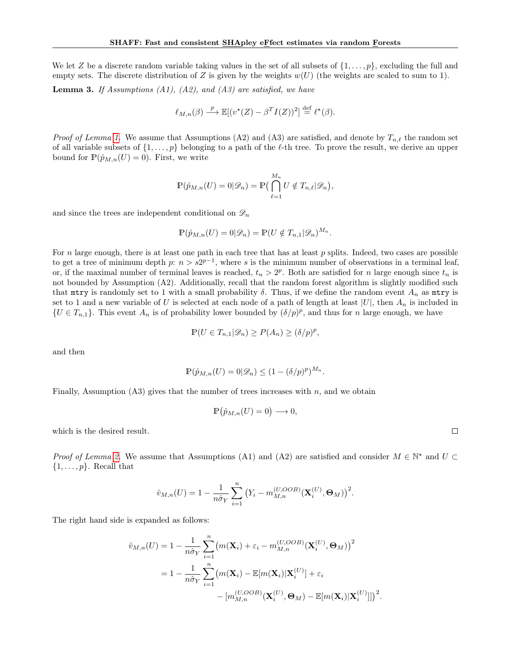We let Z be a discrete random variable taking values in the set of all subsets of  $\{1,\ldots,p\}$ , excluding the full and empty sets. The discrete distribution of Z is given by the weights  $w(U)$  (the weights are scaled to sum to 1).

**Lemma 3.** If Assumptions  $(A1)$ ,  $(A2)$ , and  $(A3)$  are satisfied, we have

$$
\ell_{M,n}(\beta) \stackrel{p}{\longrightarrow} \mathbb{E}[(v^*(Z) - \beta^T I(Z))^2] \stackrel{\text{def}}{=} \ell^*(\beta).
$$

*Proof of Lemma [1.](#page-6-2)* We assume that Assumptions (A2) and (A3) are satisfied, and denote by  $T_{n,\ell}$  the random set of all variable subsets of  $\{1,\ldots,p\}$  belonging to a path of the  $\ell$ -th tree. To prove the result, we derive an upper bound for  $\mathbb{P}(\hat{p}_{M,n}(U) = 0)$ . First, we write

$$
\mathbb{P}(\hat{p}_{M,n}(U) = 0 | \mathcal{D}_n) = \mathbb{P}\left(\bigcap_{\ell=1}^{M_n} U \notin T_{n,\ell} | \mathcal{D}_n\right),
$$

and since the trees are independent conditional on  $\mathscr{D}_n$ 

$$
\mathbb{P}(\hat{p}_{M,n}(U) = 0 | \mathscr{D}_n) = \mathbb{P}(U \notin T_{n,1} | \mathscr{D}_n)^{M_n}.
$$

For n large enough, there is at least one path in each tree that has at least  $p$  splits. Indeed, two cases are possible to get a tree of minimum depth p:  $n > s2^{p-1}$ , where s is the minimum number of observations in a terminal leaf, or, if the maximal number of terminal leaves is reached,  $t_n > 2^p$ . Both are satisfied for n large enough since  $t_n$  is not bounded by Assumption (A2). Additionally, recall that the random forest algorithm is slightly modified such that mtry is randomly set to 1 with a small probability  $\delta$ . Thus, if we define the random event  $A_n$  as mtry is set to 1 and a new variable of U is selected at each node of a path of length at least  $|U|$ , then  $A_n$  is included in  $\{U \in T_{n,1}\}.$  This event  $A_n$  is of probability lower bounded by  $(\delta/p)^p$ , and thus for n large enough, we have

$$
\mathbb{P}(U \in T_{n,1}|\mathscr{D}_n) \ge P(A_n) \ge (\delta/p)^p,
$$

and then

$$
\mathbb{P}(\hat{p}_{M,n}(U) = 0 | \mathcal{D}_n) \le (1 - (\delta/p)^p)^{M_n}.
$$

Finally, Assumption  $(A3)$  gives that the number of trees increases with n, and we obtain

$$
\mathbb{P}\big(\hat{p}_{M,n}(U)=0\big)\longrightarrow 0,
$$

which is the desired result.

Proof of Lemma [2.](#page-6-3) We assume that Assumptions (A1) and (A2) are satisfied and consider  $M \in \mathbb{N}^*$  and  $U \subset$  $\{1,\ldots,p\}$ . Recall that

$$
\hat{v}_{M,n}(U) = 1 - \frac{1}{n\hat{\sigma}_Y} \sum_{i=1}^n (Y_i - m_{M,n}^{(U,OOB)}(\mathbf{X}_i^{(U)}, \mathbf{\Theta}_M))^2.
$$

The right hand side is expanded as follows:

$$
\hat{v}_{M,n}(U) = 1 - \frac{1}{n\hat{\sigma}_Y} \sum_{i=1}^n \left( m(\mathbf{X}_i) + \varepsilon_i - m_{M,n}^{(U,OOB)}(\mathbf{X}_i^{(U)}, \mathbf{\Theta}_M) \right)^2
$$

$$
= 1 - \frac{1}{n\hat{\sigma}_Y} \sum_{i=1}^n \left( m(\mathbf{X}_i) - \mathbb{E}[m(\mathbf{X}_i)|\mathbf{X}_i^{(U)}] + \varepsilon_i
$$

$$
- \left[ m_{M,n}^{(U,OOB)}(\mathbf{X}_i^{(U)}, \mathbf{\Theta}_M) - \mathbb{E}[m(\mathbf{X}_i)|\mathbf{X}_i^{(U)}] \right] \right)^2
$$

.

 $\Box$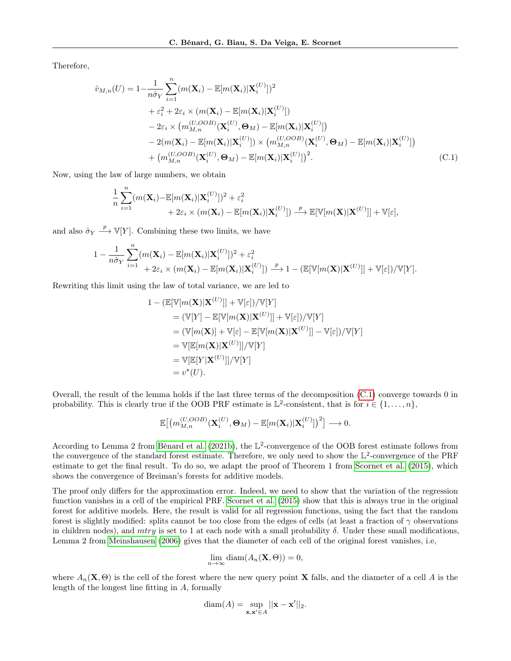Therefore,

$$
\hat{v}_{M,n}(U) = 1 - \frac{1}{n\hat{\sigma}_Y} \sum_{i=1}^n (m(\mathbf{X}_i) - \mathbb{E}[m(\mathbf{X}_i)|\mathbf{X}_i^{(U)}])^2 \n+ \varepsilon_i^2 + 2\varepsilon_i \times (m(\mathbf{X}_i) - \mathbb{E}[m(\mathbf{X}_i)|\mathbf{X}_i^{(U)}]) \n- 2\varepsilon_i \times (m_{M,n}^{(U,OOB)}(\mathbf{X}_i^{(U)}, \mathbf{\Theta}_M) - \mathbb{E}[m(\mathbf{X}_i)|\mathbf{X}_i^{(U)}]) \n- 2(m(\mathbf{X}_i) - \mathbb{E}[m(\mathbf{X}_i)|\mathbf{X}_i^{(U)}]) \times (m_{M,n}^{(U,OOB)}(\mathbf{X}_i^{(U)}, \mathbf{\Theta}_M) - \mathbb{E}[m(\mathbf{X}_i)|\mathbf{X}_i^{(U)}]) \n+ (m_{M,n}^{(U,OOB)}(\mathbf{X}_i^{(U)}, \mathbf{\Theta}_M) - \mathbb{E}[m(\mathbf{X}_i)|\mathbf{X}_i^{(U)}])^2.
$$
\n(C.1)

Now, using the law of large numbers, we obtain

$$
\frac{1}{n}\sum_{i=1}^{n}(m(\mathbf{X}_{i})-\mathbb{E}[m(\mathbf{X}_{i})|\mathbf{X}_{i}^{(U)}])^{2}+\varepsilon_{i}^{2} + 2\varepsilon_{i} \times (m(\mathbf{X}_{i})-\mathbb{E}[m(\mathbf{X}_{i})|\mathbf{X}_{i}^{(U)}]) \xrightarrow{p} \mathbb{E}[\mathbb{V}[m(\mathbf{X})|\mathbf{X}^{(U)}]] + \mathbb{V}[\varepsilon],
$$

and also  $\hat{\sigma}_Y \stackrel{p}{\longrightarrow} \mathbb{V}[Y]$ . Combining these two limits, we have

$$
\begin{aligned}\n1 - \frac{1}{n\hat{\sigma}_Y} \sum_{i=1}^n (m(\mathbf{X}_i) - \mathbb{E}[m(\mathbf{X}_i)|\mathbf{X}_i^{(U)}])^2 + \varepsilon_i^2 \\
+ 2\varepsilon_i \times (m(\mathbf{X}_i) - \mathbb{E}[m(\mathbf{X}_i)|\mathbf{X}_i^{(U)}]) \xrightarrow{p} 1 - (\mathbb{E}[\mathbb{V}[m(\mathbf{X})|\mathbf{X}^{(U)}]] + \mathbb{V}[\varepsilon]) / \mathbb{V}[Y].\n\end{aligned}
$$

Rewriting this limit using the law of total variance, we are led to

<span id="page-16-0"></span>
$$
1 - (\mathbb{E}[\mathbb{V}[m(\mathbf{X})|\mathbf{X}^{(U)}]] + \mathbb{V}[\varepsilon])/\mathbb{V}[Y]
$$
  
\n
$$
= (\mathbb{V}[Y] - \mathbb{E}[\mathbb{V}[m(\mathbf{X})|\mathbf{X}^{(U)}]] + \mathbb{V}[\varepsilon])/\mathbb{V}[Y]
$$
  
\n
$$
= (\mathbb{V}[m(\mathbf{X})] + \mathbb{V}[\varepsilon] - \mathbb{E}[\mathbb{V}[m(\mathbf{X})|\mathbf{X}^{(U)}]] - \mathbb{V}[\varepsilon])/\mathbb{V}[Y]
$$
  
\n
$$
= \mathbb{V}[\mathbb{E}[m(\mathbf{X})|\mathbf{X}^{(U)}]]/\mathbb{V}[Y]
$$
  
\n
$$
= \mathbb{V}[\mathbb{E}[Y|\mathbf{X}^{(U)}]]/\mathbb{V}[Y]
$$
  
\n
$$
= v^*(U).
$$

Overall, the result of the lemma holds if the last three terms of the decomposition [\(C.1\)](#page-16-0) converge towards 0 in probability. This is clearly true if the OOB PRF estimate is  $\mathbb{L}^2$ -consistent, that is for  $i \in \{1, \ldots, n\}$ ,

$$
\mathbb{E}\big[\big(m_{M,n}^{(U,OOB)}(\mathbf{X}_i^{(U)},\mathbf{\Theta}_M)-\mathbb{E}[m(\mathbf{X}_i)|\mathbf{X}_i^{(U)}]\big)^2\big] \longrightarrow 0.
$$

According to Lemma 2 from [Bénard et al.](#page-9-15) [\(2021b\)](#page-9-15), the  $\mathbb{L}^2$ -convergence of the OOB forest estimate follows from the convergence of the standard forest estimate. Therefore, we only need to show the  $\mathbb{L}^2$ -convergence of the PRF estimate to get the final result. To do so, we adapt the proof of Theorem 1 from [Scornet et al.](#page-10-5) [\(2015\)](#page-10-5), which shows the convergence of Breiman's forests for additive models.

The proof only differs for the approximation error. Indeed, we need to show that the variation of the regression function vanishes in a cell of the empirical PRF. [Scornet et al.](#page-10-5) [\(2015\)](#page-10-5) show that this is always true in the original forest for additive models. Here, the result is valid for all regression functions, using the fact that the random forest is slightly modified: splits cannot be too close from the edges of cells (at least a fraction of  $\gamma$  observations in children nodes), and mtry is set to 1 at each node with a small probability  $\delta$ . Under these small modifications, Lemma 2 from [Meinshausen](#page-9-23) [\(2006\)](#page-9-23) gives that the diameter of each cell of the original forest vanishes, i.e,

$$
\lim_{n \to \infty} \text{diam}(A_n(\mathbf{X}, \Theta)) = 0,
$$

where  $A_n(\mathbf{X}, \Theta)$  is the cell of the forest where the new query point **X** falls, and the diameter of a cell A is the length of the longest line fitting in A, formally

$$
diam(A) = \sup_{\mathbf{x}, \mathbf{x}' \in A} ||\mathbf{x} - \mathbf{x}'||_2.
$$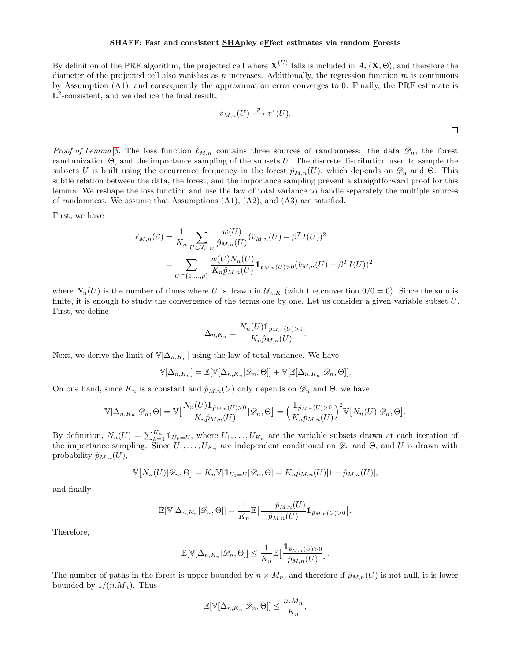By definition of the PRF algorithm, the projected cell where  $X^{(U)}$  falls is included in  $A_n(X, \Theta)$ , and therefore the diameter of the projected cell also vanishes as  $n$  increases. Additionally, the regression function  $m$  is continuous by Assumption (A1), and consequently the approximation error converges to 0. Finally, the PRF estimate is  $\mathbb{L}^2$ -consistent, and we deduce the final result,

$$
\hat{v}_{M,n}(U) \stackrel{p}{\longrightarrow} v^*(U).
$$

*Proof of Lemma [3.](#page-6-1)* The loss function  $\ell_{M,n}$  contains three sources of randomness: the data  $\mathscr{D}_n$ , the forest randomization Θ, and the importance sampling of the subsets U. The discrete distribution used to sample the subsets U is built using the occurrence frequency in the forest  $\hat{p}_{M,n}(U)$ , which depends on  $\mathscr{D}_n$  and  $\Theta$ . This subtle relation between the data, the forest, and the importance sampling prevent a straightforward proof for this lemma. We reshape the loss function and use the law of total variance to handle separately the multiple sources of randomness. We assume that Assumptions  $(A1)$ ,  $(A2)$ , and  $(A3)$  are satisfied.

First, we have

$$
\ell_{M,n}(\beta) = \frac{1}{K_n} \sum_{U \in \mathcal{U}_{n,K}} \frac{w(U)}{\hat{p}_{M,n}(U)} (\hat{v}_{M,n}(U) - \beta^T I(U))^2
$$
  
= 
$$
\sum_{U \subset \{1,\dots,p\}} \frac{w(U)N_n(U)}{K_n \hat{p}_{M,n}(U)} 1_{\hat{p}_{M,n}(U) > 0} (\hat{v}_{M,n}(U) - \beta^T I(U))^2,
$$

where  $N_n(U)$  is the number of times where U is drawn in  $\mathcal{U}_{n,K}$  (with the convention  $0/0 = 0$ ). Since the sum is finite, it is enough to study the convergence of the terms one by one. Let us consider a given variable subset  $U$ . First, we define

$$
\Delta_{n,K_n} = \frac{N_n(U) \mathbb{1}_{\hat{p}_{M,n}(U) > 0}}{K_n \hat{p}_{M,n}(U)}
$$

.

Next, we derive the limit of  $\mathbb{V}[\Delta_{n,K_n}]$  using the law of total variance. We have

$$
\mathbb{V}[\Delta_{n,K_n}] = \mathbb{E}[\mathbb{V}[\Delta_{n,K_n}|\mathscr{D}_n,\Theta]] + \mathbb{V}[\mathbb{E}[\Delta_{n,K_n}|\mathscr{D}_n,\Theta]].
$$

On one hand, since  $K_n$  is a constant and  $\hat{p}_{M,n}(U)$  only depends on  $\mathscr{D}_n$  and  $\Theta$ , we have

$$
\mathbb{V}[\Delta_{n,K_n}|\mathscr{D}_n,\Theta] = \mathbb{V}\big[\frac{N_n(U)\mathbb{1}_{\hat{p}_{M,n}(U)>0}}{K_n\hat{p}_{M,n}(U)}|\mathscr{D}_n,\Theta\big] = \left(\frac{\mathbb{1}_{\hat{p}_{M,n}(U)>0}}{K_n\hat{p}_{M,n}(U)}\right)^2 \mathbb{V}\big[N_n(U)|\mathscr{D}_n,\Theta\big].
$$

By definition,  $N_n(U) = \sum_{k=1}^{K_n} 1\!\!1_{U_k=U}$ , where  $U_1, \ldots, U_{K_n}$  are the variable subsets drawn at each iteration of the importance sampling. Since  $U_1, \ldots, U_{K_n}$  are independent conditional on  $\mathscr{D}_n$  and  $\Theta$ , and U is drawn with probability  $\hat{p}_{M,n}(U)$ ,

$$
\mathbb{V}[N_n(U)|\mathscr{D}_n,\Theta] = K_n \mathbb{V}[\mathbb{1}_{U_1=U}|\mathscr{D}_n,\Theta] = K_n \hat{p}_{M,n}(U)[1-\hat{p}_{M,n}(U)],
$$

and finally

$$
\mathbb{E}[\mathbb{V}[\Delta_{n,K_n}|\mathscr{D}_n,\Theta]] = \frac{1}{K_n} \mathbb{E}\left[\frac{1-\hat{p}_{M,n}(U)}{\hat{p}_{M,n}(U)} 1\!\!1_{\hat{p}_{M,n}(U)>0}\right].
$$

Therefore,

$$
\mathbb{E}[\mathbb{V}[\Delta_{n,K_n}|\mathscr{D}_n,\Theta]] \leq \frac{1}{K_n} \mathbb{E}\left[\frac{\mathbb{1}_{\hat{p}_{M,n}(U)>0}}{\hat{p}_{M,n}(U)}\right].
$$

The number of paths in the forest is upper bounded by  $n \times M_n$ , and therefore if  $\hat{p}_{M,n}(U)$  is not null, it is lower bounded by  $1/(n.M_n)$ . Thus

$$
\mathbb{E}[\mathbb{V}[\Delta_{n,K_n}|\mathscr{D}_n,\Theta]] \leq \frac{n.M_n}{K_n},
$$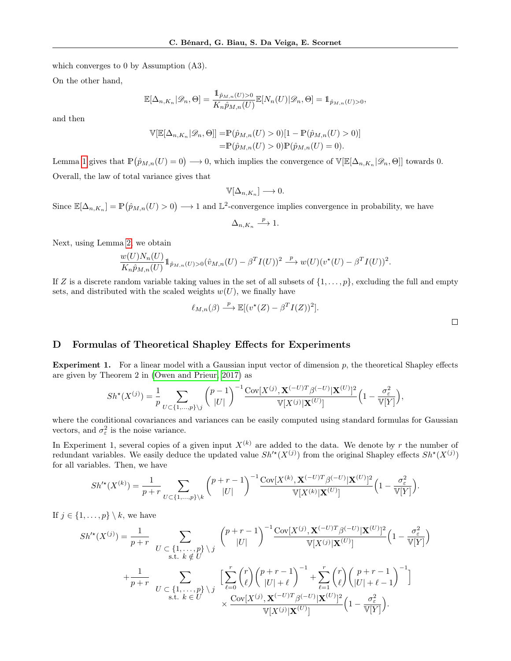which converges to 0 by Assumption (A3).

On the other hand,

$$
\mathbb{E}[\Delta_{n,K_n}|\mathscr{D}_n,\Theta]=\frac{\mathbb{1}_{\hat{p}_{M,n}(U)>0}}{K_n\hat{p}_{M,n}(U)}\mathbb{E}[N_n(U)|\mathscr{D}_n,\Theta]=\mathbb{1}_{\hat{p}_{M,n}(U)>0},
$$

and then

$$
\mathbb{V}[\mathbb{E}[\Delta_{n,K_n}|\mathscr{D}_n, \Theta]] = \mathbb{P}(\hat{p}_{M,n}(U) > 0)[1 - \mathbb{P}(\hat{p}_{M,n}(U) > 0)]
$$
  
=  $\mathbb{P}(\hat{p}_{M,n}(U) > 0)\mathbb{P}(\hat{p}_{M,n}(U) = 0).$ 

Lemma [1](#page-6-2) gives that  $\mathbb{P}(\hat{p}_{M,n}(U) = 0) \longrightarrow 0$ , which implies the convergence of  $\mathbb{V}[\mathbb{E}[\Delta_{n,K_n}|\mathscr{D}_n,\Theta]]$  towards 0. Overall, the law of total variance gives that

$$
\mathbb{V}[\Delta_{n,K_n}] \longrightarrow 0.
$$

Since  $\mathbb{E}[\Delta_{n,K_n}] = \mathbb{P}(\hat{p}_{M,n}(U) > 0) \longrightarrow 1$  and  $\mathbb{L}^2$ -convergence implies convergence in probability, we have

$$
\Delta_{n,K_n} \xrightarrow{p} 1.
$$

Next, using Lemma [2,](#page-6-3) we obtain

$$
\frac{w(U)N_n(U)}{K_n\hat{p}_{M,n}(U)}1_{\hat{p}_{M,n}(U)>0}(\hat{v}_{M,n}(U)-\beta^T I(U))^2 \stackrel{p}{\longrightarrow} w(U)(v^*(U)-\beta^T I(U))^2.
$$

If Z is a discrete random variable taking values in the set of all subsets of  $\{1,\ldots,p\}$ , excluding the full and empty sets, and distributed with the scaled weights  $w(U)$ , we finally have

$$
\ell_{M,n}(\beta) \xrightarrow{p} \mathbb{E}[(v^*(Z) - \beta^T I(Z))^2].
$$

## <span id="page-18-0"></span>D Formulas of Theoretical Shapley Effects for Experiments

**Experiment 1.** For a linear model with a Gaussian input vector of dimension  $p$ , the theoretical Shapley effects are given by Theorem 2 in [\(Owen and Prieur, 2017\)](#page-9-24) as

$$
Sh^{\star}(X^{(j)}) = \frac{1}{p} \sum_{U \subset \{1, ..., p\} \setminus j} {p-1 \choose |U|}^{-1} \frac{\text{Cov}[X^{(j)}, \mathbf{X}^{(-U)T} \beta^{(-U)} | \mathbf{X}^{(U)}]^2}{\mathbb{V}[X^{(j)} | \mathbf{X}^{(U)}]} \left(1 - \frac{\sigma_{\varepsilon}^2}{\mathbb{V}[Y]}\right),
$$

where the conditional covariances and variances can be easily computed using standard formulas for Gaussian vectors, and  $\sigma_{\varepsilon}^2$  is the noise variance.

In Experiment 1, several copies of a given input  $X^{(k)}$  are added to the data. We denote by r the number of redundant variables. We easily deduce the updated value  $Sh'^{\star}(X^{(j)})$  from the original Shapley effects  $Sh^{\star}(X^{(j)})$ for all variables. Then, we have

$$
Sh'^*(X^{(k)}) = \frac{1}{p+r} \sum_{U \subset \{1,\ldots,p\} \setminus k} \binom{p+r-1}{|U|}^{-1} \frac{\text{Cov}[X^{(k)}, \mathbf{X}^{(-U)T} \beta^{(-U)} | \mathbf{X}^{(U)}]^2}{\mathbb{V}[X^{(k)} | \mathbf{X}^{(U)}]} \left(1 - \frac{\sigma_{\varepsilon}^2}{\mathbb{V}[Y]}\right).
$$

If  $j \in \{1, \ldots, p\} \setminus k$ , we have

$$
Sh'^{\star}(X^{(j)}) = \frac{1}{p+r} \sum_{\substack{U \subset \{1,\ldots,p\} \\ \text{s.t. } k \notin U}} \binom{p+r-1}{|U|}^{-1} \frac{\text{Cov}[X^{(j)}, \mathbf{X}^{(-U)T} \beta^{(-U)} | \mathbf{X}^{(U)}]^2}{\mathbb{V}[X^{(j)} | \mathbf{X}^{(U)}]} \left(1 - \frac{\sigma_{\varepsilon}^2}{\mathbb{V}[Y]}\right)
$$

$$
+ \frac{1}{p+r} \sum_{\substack{U \subset \{1,\ldots,p\} \\ \text{s.t. } k \in U}} \left[\sum_{\ell=0}^r \binom{r}{\ell} \binom{p+r-1}{|U|+\ell}^{-1} + \sum_{\ell=1}^r \binom{r}{\ell} \binom{p+r-1}{|U|+\ell-1}^{-1}\right]
$$

$$
\times \frac{\text{Cov}[X^{(j)}, \mathbf{X}^{(-U)T} \beta^{(-U)} | \mathbf{X}^{(U)}]^2}{\mathbb{V}[X^{(j)} | \mathbf{X}^{(U)}]} \left(1 - \frac{\sigma_{\varepsilon}^2}{\mathbb{V}[Y]}\right).
$$